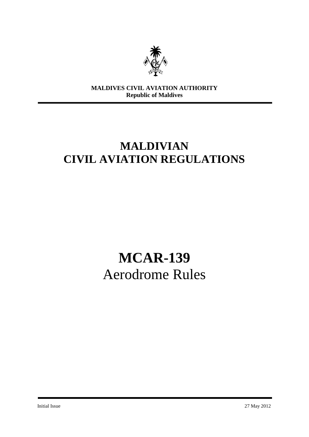

**MALDIVES CIVIL AVIATION AUTHORITY Republic of Maldives**

# **MALDIVIAN CIVIL AVIATION REGULATIONS**

# **MCAR-139** Aerodrome Rules

Initial Issue 27 May 2012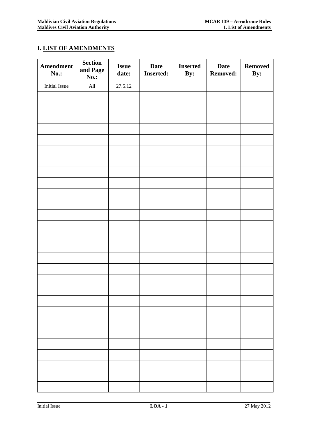# **I. LIST OF AMENDMENTS**

| Amendment<br><b>No.:</b> | <b>Section</b><br>and Page<br><b>No.:</b> | <b>Issue</b><br>date: | <b>Date</b><br><b>Inserted:</b> | <b>Inserted</b><br>By: | <b>Date</b><br><b>Removed:</b> | <b>Removed</b><br>By: |
|--------------------------|-------------------------------------------|-----------------------|---------------------------------|------------------------|--------------------------------|-----------------------|
| <b>Initial Issue</b>     | $\mathop{\rm All}\nolimits$               | 27.5.12               |                                 |                        |                                |                       |
|                          |                                           |                       |                                 |                        |                                |                       |
|                          |                                           |                       |                                 |                        |                                |                       |
|                          |                                           |                       |                                 |                        |                                |                       |
|                          |                                           |                       |                                 |                        |                                |                       |
|                          |                                           |                       |                                 |                        |                                |                       |
|                          |                                           |                       |                                 |                        |                                |                       |
|                          |                                           |                       |                                 |                        |                                |                       |
|                          |                                           |                       |                                 |                        |                                |                       |
|                          |                                           |                       |                                 |                        |                                |                       |
|                          |                                           |                       |                                 |                        |                                |                       |
|                          |                                           |                       |                                 |                        |                                |                       |
|                          |                                           |                       |                                 |                        |                                |                       |
|                          |                                           |                       |                                 |                        |                                |                       |
|                          |                                           |                       |                                 |                        |                                |                       |
|                          |                                           |                       |                                 |                        |                                |                       |
|                          |                                           |                       |                                 |                        |                                |                       |
|                          |                                           |                       |                                 |                        |                                |                       |
|                          |                                           |                       |                                 |                        |                                |                       |
|                          |                                           |                       |                                 |                        |                                |                       |
|                          |                                           |                       |                                 |                        |                                |                       |
|                          |                                           |                       |                                 |                        |                                |                       |
|                          |                                           |                       |                                 |                        |                                |                       |
|                          |                                           |                       |                                 |                        |                                |                       |
|                          |                                           |                       |                                 |                        |                                |                       |
|                          |                                           |                       |                                 |                        |                                |                       |
|                          |                                           |                       |                                 |                        |                                |                       |
|                          |                                           |                       |                                 |                        |                                |                       |
|                          |                                           |                       |                                 |                        |                                |                       |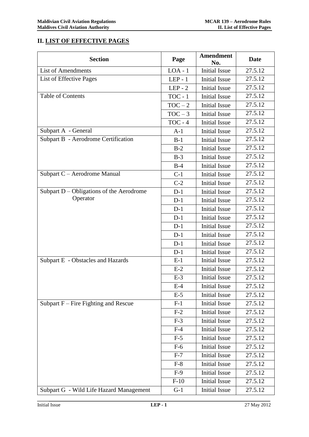# **II. LIST OF EFFECTIVE PAGES**

| <b>Section</b>                           | Page      | <b>Amendment</b><br>No. | <b>Date</b> |
|------------------------------------------|-----------|-------------------------|-------------|
| <b>List of Amendments</b>                | $LOA - 1$ | <b>Initial Issue</b>    | 27.5.12     |
| List of Effective Pages                  | $LEP - 1$ | <b>Initial Issue</b>    | 27.5.12     |
|                                          | $LEP - 2$ | <b>Initial Issue</b>    | 27.5.12     |
| <b>Table of Contents</b>                 | $TOC - 1$ | <b>Initial Issue</b>    | 27.5.12     |
|                                          | $TOC - 2$ | <b>Initial Issue</b>    | 27.5.12     |
|                                          | $TOC - 3$ | <b>Initial Issue</b>    | 27.5.12     |
|                                          | $TOC - 4$ | <b>Initial Issue</b>    | 27.5.12     |
| Subpart A - General                      | $A-1$     | <b>Initial Issue</b>    | 27.5.12     |
| Subpart B - Aerodrome Certification      | $B-1$     | <b>Initial Issue</b>    | 27.5.12     |
|                                          | $B-2$     | <b>Initial Issue</b>    | 27.5.12     |
|                                          | $B-3$     | <b>Initial Issue</b>    | 27.5.12     |
|                                          | $B-4$     | <b>Initial Issue</b>    | 27.5.12     |
| Subpart C - Aerodrome Manual             | $C-1$     | <b>Initial Issue</b>    | 27.5.12     |
|                                          | $C-2$     | <b>Initial Issue</b>    | 27.5.12     |
| Subpart D - Obligations of the Aerodrome | $D-1$     | <b>Initial Issue</b>    | 27.5.12     |
| Operator                                 | $D-1$     | <b>Initial Issue</b>    | 27.5.12     |
|                                          | $D-1$     | <b>Initial Issue</b>    | 27.5.12     |
|                                          | $D-1$     | <b>Initial Issue</b>    | 27.5.12     |
|                                          | $D-1$     | <b>Initial Issue</b>    | 27.5.12     |
|                                          | $D-1$     | <b>Initial Issue</b>    | 27.5.12     |
|                                          | $D-1$     | <b>Initial Issue</b>    | 27.5.12     |
|                                          | $D-1$     | <b>Initial Issue</b>    | 27.5.12     |
| Subpart E - Obstacles and Hazards        | $E-1$     | <b>Initial Issue</b>    | 27.5.12     |
|                                          | $E-2$     | <b>Initial Issue</b>    | 27.5.12     |
|                                          | $E-3$     | <b>Initial Issue</b>    | 27.5.12     |
|                                          | $E-4$     | <b>Initial Issue</b>    | 27.5.12     |
|                                          | $E-5$     | <b>Initial Issue</b>    | 27.5.12     |
| Subpart $F$ – Fire Fighting and Rescue   | $F-1$     | <b>Initial Issue</b>    | 27.5.12     |
|                                          | $F-2$     | <b>Initial Issue</b>    | 27.5.12     |
|                                          | $F-3$     | <b>Initial Issue</b>    | 27.5.12     |
|                                          | $F-4$     | <b>Initial Issue</b>    | 27.5.12     |
|                                          | $F-5$     | <b>Initial Issue</b>    | 27.5.12     |
|                                          | $F-6$     | <b>Initial Issue</b>    | 27.5.12     |
|                                          | $F-7$     | <b>Initial Issue</b>    | 27.5.12     |
|                                          | $F-8$     | <b>Initial Issue</b>    | 27.5.12     |
|                                          | $F-9$     | <b>Initial Issue</b>    | 27.5.12     |
|                                          | $F-10$    | <b>Initial Issue</b>    | 27.5.12     |
| Subpart G - Wild Life Hazard Management  | $G-1$     | <b>Initial Issue</b>    | 27.5.12     |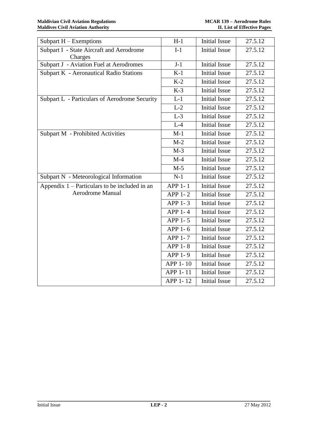| Subpart $H$ – Exemptions                        | $H-1$                 | <b>Initial Issue</b> | 27.5.12 |
|-------------------------------------------------|-----------------------|----------------------|---------|
| Subpart I - State Aircraft and Aerodrome        | $I-1$                 | <b>Initial Issue</b> | 27.5.12 |
| Charges                                         |                       |                      |         |
| Subpart J - Aviation Fuel at Aerodromes         | $J-1$                 | <b>Initial Issue</b> | 27.5.12 |
| <b>Subpart K - Aeronautical Radio Stations</b>  | $K-1$                 | <b>Initial Issue</b> | 27.5.12 |
|                                                 | $K-2$                 | <b>Initial Issue</b> | 27.5.12 |
|                                                 | $K-3$                 | <b>Initial Issue</b> | 27.5.12 |
| Subpart L - Particulars of Aerodrome Security   | $L-1$                 | <b>Initial Issue</b> | 27.5.12 |
|                                                 | $L-2$                 | <b>Initial Issue</b> | 27.5.12 |
|                                                 | $L-3$                 | <b>Initial Issue</b> | 27.5.12 |
|                                                 | $L-4$                 | Initial Issue        | 27.5.12 |
| <b>Subpart M - Prohibited Activities</b>        | $M-1$                 | <b>Initial Issue</b> | 27.5.12 |
|                                                 | $M-2$                 | <b>Initial Issue</b> | 27.5.12 |
|                                                 | $M-3$                 | <b>Initial Issue</b> | 27.5.12 |
|                                                 | $M-4$                 | <b>Initial Issue</b> | 27.5.12 |
|                                                 | $M-5$                 | <b>Initial Issue</b> | 27.5.12 |
| Subpart N - Meteorological Information          | $N-1$                 | <b>Initial Issue</b> | 27.5.12 |
| Appendix $1$ – Particulars to be included in an | APP 1-1               | <b>Initial Issue</b> | 27.5.12 |
| Aerodrome Manual                                | APP 1-2               | <b>Initial Issue</b> | 27.5.12 |
|                                                 | APP 1-3               | <b>Initial Issue</b> | 27.5.12 |
|                                                 | APP 1- $\overline{4}$ | <b>Initial Issue</b> | 27.5.12 |
|                                                 | APP 1-5               | <b>Initial Issue</b> | 27.5.12 |
|                                                 | APP 1-6               | <b>Initial Issue</b> | 27.5.12 |
|                                                 | APP 1-7               | <b>Initial Issue</b> | 27.5.12 |
|                                                 | <b>APP 1-8</b>        | <b>Initial Issue</b> | 27.5.12 |
|                                                 | APP 1-9               | <b>Initial Issue</b> | 27.5.12 |
|                                                 | APP 1-10              | <b>Initial Issue</b> | 27.5.12 |
|                                                 | APP 1-11              | <b>Initial Issue</b> | 27.5.12 |
|                                                 | APP 1-12              | <b>Initial Issue</b> | 27.5.12 |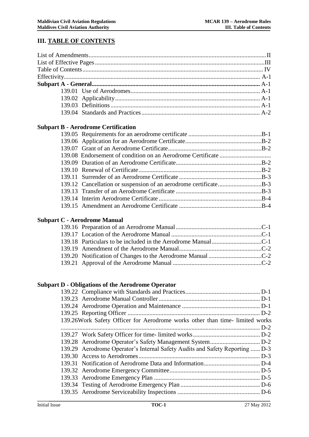# **III. TABLE OF CONTENTS**

|                      | <b>Subpart B - Aerodrome Certification</b>                                   |             |
|----------------------|------------------------------------------------------------------------------|-------------|
|                      |                                                                              |             |
|                      |                                                                              |             |
|                      |                                                                              |             |
|                      |                                                                              |             |
|                      |                                                                              |             |
|                      |                                                                              |             |
|                      |                                                                              |             |
|                      | 139.12 Cancellation or suspension of an aerodrome certificateB-3             |             |
|                      |                                                                              |             |
|                      |                                                                              |             |
|                      |                                                                              |             |
|                      | <b>Subpart C - Aerodrome Manual</b>                                          |             |
|                      |                                                                              |             |
|                      |                                                                              |             |
|                      |                                                                              |             |
|                      |                                                                              |             |
|                      |                                                                              |             |
|                      |                                                                              |             |
|                      | <b>Subpart D - Obligations of the Aerodrome Operator</b>                     |             |
|                      |                                                                              |             |
|                      |                                                                              |             |
|                      |                                                                              |             |
|                      |                                                                              |             |
|                      | 139.26Work Safety Officer for Aerodrome works other than time-limited works  |             |
|                      |                                                                              |             |
|                      |                                                                              |             |
|                      |                                                                              |             |
|                      | 139.29 Aerodrome Operator's Internal Safety Audits and Safety Reporting  D-3 |             |
|                      |                                                                              |             |
|                      |                                                                              |             |
|                      |                                                                              |             |
|                      |                                                                              |             |
|                      |                                                                              |             |
|                      |                                                                              |             |
| <b>Initial Issue</b> | <b>TOC-1</b>                                                                 | 27 May 2012 |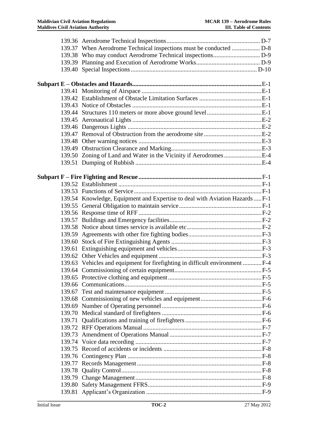| 139.37 When Aerodrome Technical inspections must be conducted  D-8           |  |
|------------------------------------------------------------------------------|--|
|                                                                              |  |
|                                                                              |  |
|                                                                              |  |
|                                                                              |  |
|                                                                              |  |
|                                                                              |  |
|                                                                              |  |
|                                                                              |  |
|                                                                              |  |
|                                                                              |  |
|                                                                              |  |
|                                                                              |  |
|                                                                              |  |
|                                                                              |  |
|                                                                              |  |
|                                                                              |  |
|                                                                              |  |
|                                                                              |  |
|                                                                              |  |
| 139.54 Knowledge, Equipment and Expertise to deal with Aviation Hazards  F-1 |  |
|                                                                              |  |
|                                                                              |  |
|                                                                              |  |
|                                                                              |  |
|                                                                              |  |
|                                                                              |  |
|                                                                              |  |
|                                                                              |  |
| 139.63 Vehicles and equipment for firefighting in difficult environment  F-4 |  |
|                                                                              |  |
|                                                                              |  |
|                                                                              |  |
|                                                                              |  |
|                                                                              |  |
|                                                                              |  |
|                                                                              |  |
|                                                                              |  |
|                                                                              |  |
|                                                                              |  |
|                                                                              |  |
|                                                                              |  |
|                                                                              |  |
|                                                                              |  |
|                                                                              |  |
|                                                                              |  |
|                                                                              |  |
|                                                                              |  |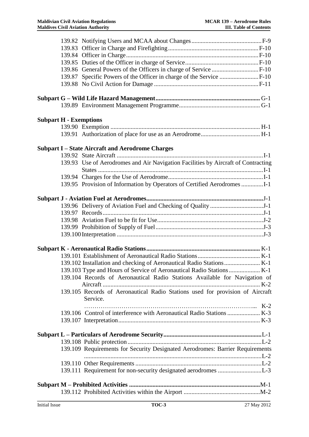| <b>Subpart H - Exemptions</b> |                                                                                   |  |
|-------------------------------|-----------------------------------------------------------------------------------|--|
|                               |                                                                                   |  |
|                               |                                                                                   |  |
|                               | <b>Subpart I-State Aircraft and Aerodrome Charges</b>                             |  |
|                               |                                                                                   |  |
|                               | 139.93 Use of Aerodromes and Air Navigation Facilities by Aircraft of Contracting |  |
|                               |                                                                                   |  |
|                               |                                                                                   |  |
|                               | 139.95 Provision of Information by Operators of Certified Aerodromes              |  |
|                               |                                                                                   |  |
|                               |                                                                                   |  |
|                               |                                                                                   |  |
|                               |                                                                                   |  |
|                               |                                                                                   |  |
|                               |                                                                                   |  |
|                               |                                                                                   |  |
|                               |                                                                                   |  |
|                               |                                                                                   |  |
|                               |                                                                                   |  |
|                               |                                                                                   |  |
|                               | 139.104 Records of Aeronautical Radio Stations Available for Navigation of        |  |
|                               |                                                                                   |  |
|                               | 139.105 Records of Aeronautical Radio Stations used for provision of Aircraft     |  |
|                               | Service.                                                                          |  |
|                               |                                                                                   |  |
|                               |                                                                                   |  |
|                               |                                                                                   |  |
|                               |                                                                                   |  |
|                               |                                                                                   |  |
|                               | 139.109 Requirements for Security Designated Aerodromes: Barrier Requirements     |  |
|                               |                                                                                   |  |
|                               |                                                                                   |  |
|                               |                                                                                   |  |
|                               |                                                                                   |  |
|                               |                                                                                   |  |
|                               |                                                                                   |  |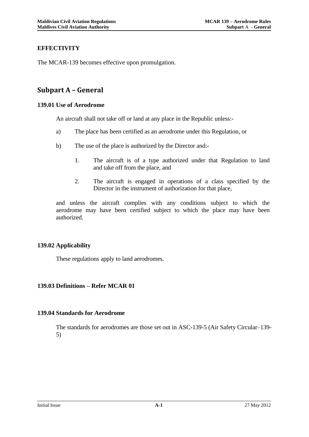# **EFFECTIVITY**

The MCAR-139 becomes effective upon promulgation.

# **Subpart A – General**

#### **139.01 Use of Aerodrome**

An aircraft shall not take off or land at any place in the Republic unless:-

- a) The place has been certified as an aerodrome under this Regulation, or
- b) The use of the place is authorized by the Director and:-
	- 1. The aircraft is of a type authorized under that Regulation to land and take off from the place, and
	- 2. The aircraft is engaged in operations of a class specified by the Director in the instrument of authorization for that place,

and unless the aircraft complies with any conditions subject to which the aerodrome may have been certified subject to which the place may have been authorized.

# **139.02 Applicability**

These regulations apply to land aerodromes.

# **139.03 Definitions – Refer MCAR 01**

#### **139.04 Standards for Aerodrome**

The standards for aerodromes are those set out in ASC-139-5 (Air Safety Circular–139- 5)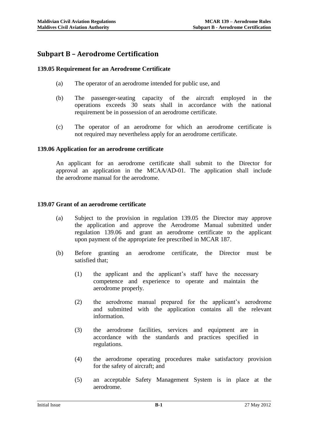# **Subpart B – Aerodrome Certification**

## **139.05 Requirement for an Aerodrome Certificate**

- (a) The operator of an aerodrome intended for public use, and
- (b) The passenger-seating capacity of the aircraft employed in the operations exceeds 30 seats shall in accordance with the national requirement be in possession of an aerodrome certificate.
- (c) The operator of an aerodrome for which an aerodrome certificate is not required may nevertheless apply for an aerodrome certificate.

#### **139.06 Application for an aerodrome certificate**

An applicant for an aerodrome certificate shall submit to the Director for approval an application in the MCAA/AD-01. The application shall include the aerodrome manual for the aerodrome.

#### **139.07 Grant of an aerodrome certificate**

- (a) Subject to the provision in regulation 139.05 the Director may approve the application and approve the Aerodrome Manual submitted under regulation 139.06 and grant an aerodrome certificate to the applicant upon payment of the appropriate fee prescribed in MCAR 187.
- (b) Before granting an aerodrome certificate, the Director must be satisfied that;
	- (1) the applicant and the applicant's staff have the necessary competence and experience to operate and maintain the aerodrome properly.
	- (2) the aerodrome manual prepared for the applicant's aerodrome and submitted with the application contains all the relevant information.
	- (3) the aerodrome facilities, services and equipment are in accordance with the standards and practices specified in regulations.
	- (4) the aerodrome operating procedures make satisfactory provision for the safety of aircraft; and
	- (5) an acceptable Safety Management System is in place at the aerodrome.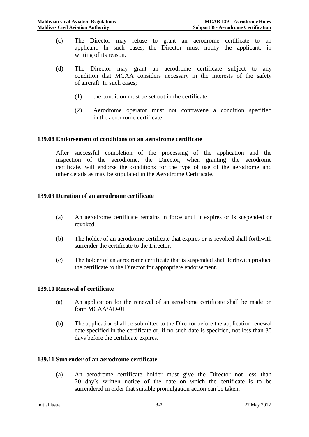- (c) The Director may refuse to grant an aerodrome certificate to an applicant. In such cases, the Director must notify the applicant, in writing of its reason.
- (d) The Director may grant an aerodrome certificate subject to any condition that MCAA considers necessary in the interests of the safety of aircraft. In such cases;
	- (1) the condition must be set out in the certificate.
	- (2) Aerodrome operator must not contravene a condition specified in the aerodrome certificate.

#### **139.08 Endorsement of conditions on an aerodrome certificate**

After successful completion of the processing of the application and the inspection of the aerodrome, the Director, when granting the aerodrome certificate, will endorse the conditions for the type of use of the aerodrome and other details as may be stipulated in the Aerodrome Certificate.

#### **139.09 Duration of an aerodrome certificate**

- (a) An aerodrome certificate remains in force until it expires or is suspended or revoked.
- (b) The holder of an aerodrome certificate that expires or is revoked shall forthwith surrender the certificate to the Director.
- (c) The holder of an aerodrome certificate that is suspended shall forthwith produce the certificate to the Director for appropriate endorsement.

#### **139.10 Renewal of certificate**

- (a) An application for the renewal of an aerodrome certificate shall be made on form MCAA/AD-01.
- (b) The application shall be submitted to the Director before the application renewal date specified in the certificate or, if no such date is specified, not less than 30 days before the certificate expires.

#### **139.11 Surrender of an aerodrome certificate**

(a) An aerodrome certificate holder must give the Director not less than 20 day's written notice of the date on which the certificate is to be surrendered in order that suitable promulgation action can be taken.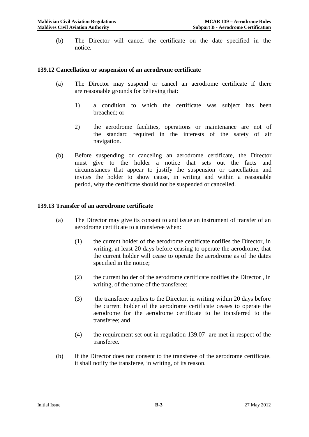(b) The Director will cancel the certificate on the date specified in the notice.

#### **139.12 Cancellation or suspension of an aerodrome certificate**

- (a) The Director may suspend or cancel an aerodrome certificate if there are reasonable grounds for believing that:
	- 1) a condition to which the certificate was subject has been breached; or
	- 2) the aerodrome facilities, operations or maintenance are not of the standard required in the interests of the safety of air navigation.
- (b) Before suspending or canceling an aerodrome certificate, the Director must give to the holder a notice that sets out the facts and circumstances that appear to justify the suspension or cancellation and invites the holder to show cause, in writing and within a reasonable period, why the certificate should not be suspended or cancelled.

#### **139.13 Transfer of an aerodrome certificate**

- (a) The Director may give its consent to and issue an instrument of transfer of an aerodrome certificate to a transferee when:
	- (1) the current holder of the aerodrome certificate notifies the Director, in writing, at least 20 days before ceasing to operate the aerodrome, that the current holder will cease to operate the aerodrome as of the dates specified in the notice;
	- (2) the current holder of the aerodrome certificate notifies the Director , in writing, of the name of the transferee;
	- (3) the transferee applies to the Director, in writing within 20 days before the current holder of the aerodrome certificate ceases to operate the aerodrome for the aerodrome certificate to be transferred to the transferee; and
	- (4) the requirement set out in regulation 139.07 are met in respect of the transferee.
- (b) If the Director does not consent to the transferee of the aerodrome certificate, it shall notify the transferee, in writing, of its reason.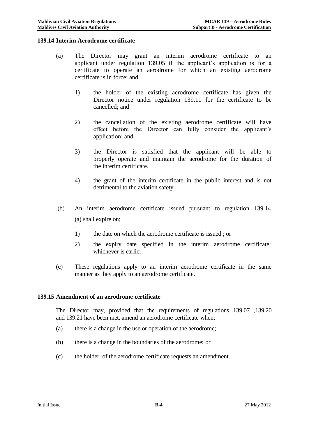#### **139.14 Interim Aerodrome certificate**

- (a) The Director may grant an interim aerodrome certificate to an applicant under regulation 139.05 if the applicant's application is for a certificate to operate an aerodrome for which an existing aerodrome certificate is in force; and
	- 1) the holder of the existing aerodrome certificate has given the Director notice under regulation 139.11 for the certificate to be cancelled; and
	- 2) the cancellation of the existing aerodrome certificate will have effect before the Director can fully consider the applicant's application; and
	- 3) the Director is satisfied that the applicant will be able to properly operate and maintain the aerodrome for the duration of the interim certificate.
	- 4) the grant of the interim certificate in the public interest and is not detrimental to the aviation safety.
- (b) An interim aerodrome certificate issued pursuant to regulation 139.14 (a) shall expire on;
	- 1) the date on which the aerodrome certificate is issued ; or
	- 2) the expiry date specified in the interim aerodrome certificate; whichever is earlier.
- (c) These regulations apply to an interim aerodrome certificate in the same manner as they apply to an aerodrome certificate.

#### **139.15 Amendment of an aerodrome certificate**

The Director may, provided that the requirements of regulations 139.07 ,139.20 and 139.21 have been met, amend an aerodrome certificate when;

- (a) there is a change in the use or operation of the aerodrome;
- (b) there is a change in the boundaries of the aerodrome; or
- (c) the holder of the aerodrome certificate requests an amendment.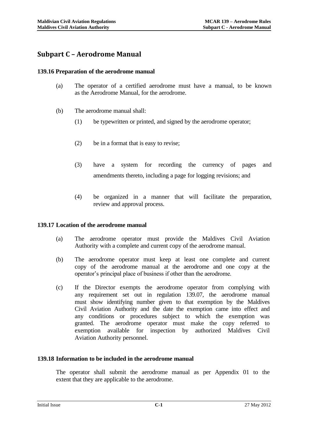# **Subpart C – Aerodrome Manual**

#### **139.16 Preparation of the aerodrome manual**

- (a) The operator of a certified aerodrome must have a manual, to be known as the Aerodrome Manual, for the aerodrome.
- (b) The aerodrome manual shall:
	- (1) be typewritten or printed, and signed by the aerodrome operator;
	- (2) be in a format that is easy to revise;
	- (3) have a system for recording the currency of pages and amendments thereto, including a page for logging revisions; and
	- (4) be organized in a manner that will facilitate the preparation, review and approval process.

#### **139.17 Location of the aerodrome manual**

- (a) The aerodrome operator must provide the Maldives Civil Aviation Authority with a complete and current copy of the aerodrome manual.
- (b) The aerodrome operator must keep at least one complete and current copy of the aerodrome manual at the aerodrome and one copy at the operator's principal place of business if other than the aerodrome.
- (c) If the Director exempts the aerodrome operator from complying with any requirement set out in regulation 139.07, the aerodrome manual must show identifying number given to that exemption by the Maldives Civil Aviation Authority and the date the exemption came into effect and any conditions or procedures subject to which the exemption was granted. The aerodrome operator must make the copy referred to exemption available for inspection by authorized Maldives Civil Aviation Authority personnel.

#### **139.18 Information to be included in the aerodrome manual**

The operator shall submit the aerodrome manual as per Appendix 01 to the extent that they are applicable to the aerodrome.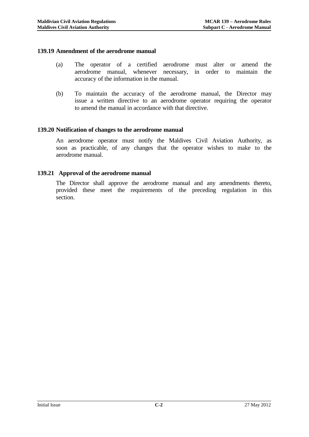#### **139.19 Amendment of the aerodrome manual**

- (a) The operator of a certified aerodrome must alter or amend the aerodrome manual, whenever necessary, in order to maintain the accuracy of the information in the manual.
- (b) To maintain the accuracy of the aerodrome manual, the Director may issue a written directive to an aerodrome operator requiring the operator to amend the manual in accordance with that directive.

#### **139.20 Notification of changes to the aerodrome manual**

An aerodrome operator must notify the Maldives Civil Aviation Authority, as soon as practicable, of any changes that the operator wishes to make to the aerodrome manual.

#### **139.21 Approval of the aerodrome manual**

The Director shall approve the aerodrome manual and any amendments thereto, provided these meet the requirements of the preceding regulation in this section.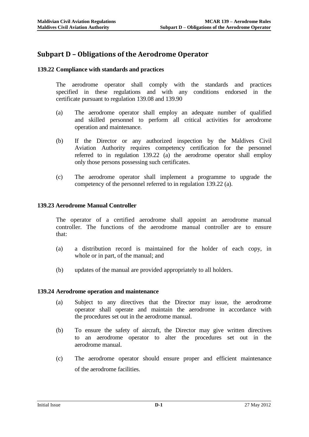# **Subpart D – Obligations of the Aerodrome Operator**

## **139.22 Compliance with standards and practices**

The aerodrome operator shall comply with the standards and practices specified in these regulations and with any conditions endorsed in the certificate pursuant to regulation 139.08 and 139.90

- (a) The aerodrome operator shall employ an adequate number of qualified and skilled personnel to perform all critical activities for aerodrome operation and maintenance.
- (b) If the Director or any authorized inspection by the Maldives Civil Aviation Authority requires competency certification for the personnel referred to in regulation 139.22 (a) the aerodrome operator shall employ only those persons possessing such certificates.
- (c) The aerodrome operator shall implement a programme to upgrade the competency of the personnel referred to in regulation 139.22 (a).

#### **139.23 Aerodrome Manual Controller**

The operator of a certified aerodrome shall appoint an aerodrome manual controller. The functions of the aerodrome manual controller are to ensure that:

- (a) a distribution record is maintained for the holder of each copy, in whole or in part, of the manual; and
- (b) updates of the manual are provided appropriately to all holders.

#### **139.24 Aerodrome operation and maintenance**

- (a) Subject to any directives that the Director may issue, the aerodrome operator shall operate and maintain the aerodrome in accordance with the procedures set out in the aerodrome manual.
- (b) To ensure the safety of aircraft, the Director may give written directives to an aerodrome operator to alter the procedures set out in the aerodrome manual.
- (c) The aerodrome operator should ensure proper and efficient maintenance of the aerodrome facilities.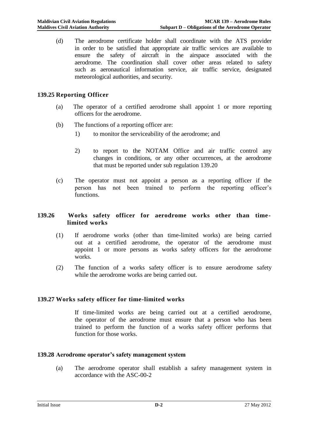(d) The aerodrome certificate holder shall coordinate with the ATS provider in order to be satisfied that appropriate air traffic services are available to ensure the safety of aircraft in the airspace associated with the aerodrome. The coordination shall cover other areas related to safety such as aeronautical information service, air traffic service, designated meteorological authorities, and security.

# **139.25 Reporting Officer**

- (a) The operator of a certified aerodrome shall appoint 1 or more reporting officers for the aerodrome.
- (b) The functions of a reporting officer are:
	- 1) to monitor the serviceability of the aerodrome; and
	- 2) to report to the NOTAM Office and air traffic control any changes in conditions, or any other occurrences, at the aerodrome that must be reported under sub regulation 139.20
- (c) The operator must not appoint a person as a reporting officer if the person has not been trained to perform the reporting officer's functions.

#### **139.26 Works safety officer for aerodrome works other than timelimited works**

- (1) If aerodrome works (other than time-limited works) are being carried out at a certified aerodrome, the operator of the aerodrome must appoint 1 or more persons as works safety officers for the aerodrome works.
- (2) The function of a works safety officer is to ensure aerodrome safety while the aerodrome works are being carried out.

#### **139.27 Works safety officer for time-limited works**

If time-limited works are being carried out at a certified aerodrome, the operator of the aerodrome must ensure that a person who has been trained to perform the function of a works safety officer performs that function for those works.

#### **139.28 Aerodrome operator's safety management system**

(a) The aerodrome operator shall establish a safety management system in accordance with the ASC-00-2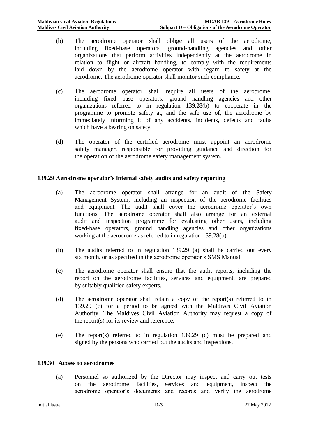- (b) The aerodrome operator shall oblige all users of the aerodrome, including fixed-base operators, ground-handling agencies and other organizations that perform activities independently at the aerodrome in relation to flight or aircraft handling, to comply with the requirements laid down by the aerodrome operator with regard to safety at the aerodrome. The aerodrome operator shall monitor such compliance.
- (c) The aerodrome operator shall require all users of the aerodrome, including fixed base operators, ground handling agencies and other organizations referred to in regulation 139.28(b) to cooperate in the programme to promote safety at, and the safe use of, the aerodrome by immediately informing it of any accidents, incidents, defects and faults which have a bearing on safety.
- (d) The operator of the certified aerodrome must appoint an aerodrome safety manager, responsible for providing guidance and direction for the operation of the aerodrome safety management system.

#### **139.29 Aerodrome operator's internal safety audits and safety reporting**

- (a) The aerodrome operator shall arrange for an audit of the Safety Management System, including an inspection of the aerodrome facilities and equipment. The audit shall cover the aerodrome operator's own functions. The aerodrome operator shall also arrange for an external audit and inspection programme for evaluating other users, including fixed-base operators, ground handling agencies and other organizations working at the aerodrome as referred to in regulation 139.28(b).
- (b) The audits referred to in regulation 139.29 (a) shall be carried out every six month, or as specified in the aerodrome operator's SMS Manual.
- (c) The aerodrome operator shall ensure that the audit reports, including the report on the aerodrome facilities, services and equipment, are prepared by suitably qualified safety experts.
- (d) The aerodrome operator shall retain a copy of the report(s) referred to in 139.29 (c) for a period to be agreed with the Maldives Civil Aviation Authority. The Maldives Civil Aviation Authority may request a copy of the report(s) for its review and reference.
- (e) The report(s) referred to in regulation 139.29 (c) must be prepared and signed by the persons who carried out the audits and inspections.

#### **139.30 Access to aerodromes**

(a) Personnel so authorized by the Director may inspect and carry out tests on the aerodrome facilities, services and equipment, inspect the aerodrome operator's documents and records and verify the aerodrome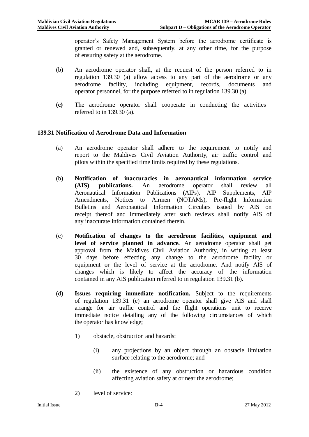operator's Safety Management System before the aerodrome certificate is granted or renewed and, subsequently, at any other time, for the purpose of ensuring safety at the aerodrome.

- (b) An aerodrome operator shall, at the request of the person referred to in regulation 139.30 (a) allow access to any part of the aerodrome or any aerodrome facility, including equipment, records, documents and operator personnel, for the purpose referred to in regulation 139.30 (a).
- **(c)** The aerodrome operator shall cooperate in conducting the activities referred to in 139.30 (a).

# **139.31 Notification of Aerodrome Data and Information**

- (a) An aerodrome operator shall adhere to the requirement to notify and report to the Maldives Civil Aviation Authority, air traffic control and pilots within the specified time limits required by these regulations.
- (b) **Notification of inaccuracies in aeronautical information service (AIS) publications.** An aerodrome operator shall review all Aeronautical Information Publications (AIPs), AIP Supplements, AIP Amendments, Notices to Airmen (NOTAMs), Pre-flight Information Bulletins and Aeronautical Information Circulars issued by AIS on receipt thereof and immediately after such reviews shall notify AIS of any inaccurate information contained therein.
- (c) **Notification of changes to the aerodrome facilities, equipment and level of service planned in advance***.* An aerodrome operator shall get approval from the Maldives Civil Aviation Authority, in writing at least 30 days before effecting any change to the aerodrome facility or equipment or the level of service at the aerodrome. And notify AIS of changes which is likely to affect the accuracy of the information contained in any AIS publication referred to in regulation 139.31 (b).
- (d) **Issues requiring immediate notification.** Subject to the requirements of regulation 139.31 (e) an aerodrome operator shall give AIS and shall arrange for air traffic control and the flight operations unit to receive immediate notice detailing any of the following circumstances of which the operator has knowledge;
	- 1) obstacle, obstruction and hazards:
		- (i) any projections by an object through an obstacle limitation surface relating to the aerodrome; and
		- (ii) the existence of any obstruction or hazardous condition affecting aviation safety at or near the aerodrome;
	- 2) level of service: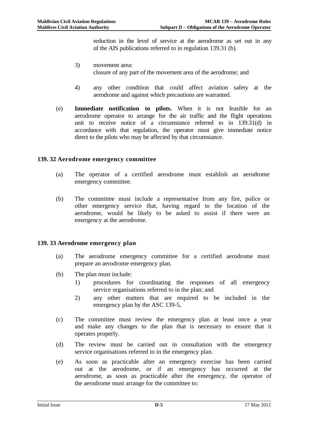reduction in the level of service at the aerodrome as set out in any of the AIS publications referred to in regulation 139.31 (b).

- 3) movement area: closure of any part of the movement area of the aerodrome; and
- 4) any other condition that could affect aviation safety at the aerodrome and against which precautions are warranted.
- (e) **Immediate notification to pilots.** When it is not feasible for an aerodrome operator to arrange for the air traffic and the flight operations unit to receive notice of a circumstance referred to in 139.31(d) in accordance with that regulation, the operator must give immediate notice direct to the pilots who may be affected by that circumstance.

#### **139. 32 Aerodrome emergency committee**

- (a) The operator of a certified aerodrome must establish an aerodrome emergency committee.
- (b) The committee must include a representative from any fire, police or other emergency service that, having regard to the location of the aerodrome, would be likely to be asked to assist if there were an emergency at the aerodrome.

#### **139. 33 Aerodrome emergency plan**

- (a) The aerodrome emergency committee for a certified aerodrome must prepare an aerodrome emergency plan.
- (b) The plan must include:
	- 1) procedures for coordinating the responses of all emergency service organisations referred to in the plan; and
	- 2) any other matters that are required to be included in the emergency plan by the ASC 139-5,
- (c) The committee must review the emergency plan at least once a year and make any changes to the plan that is necessary to ensure that it operates properly.
- (d) The review must be carried out in consultation with the emergency service organisations referred to in the emergency plan.
- (e) As soon as practicable after an emergency exercise has been carried out at the aerodrome, or if an emergency has occurred at the aerodrome, as soon as practicable after the emergency, the operator of the aerodrome must arrange for the committee to: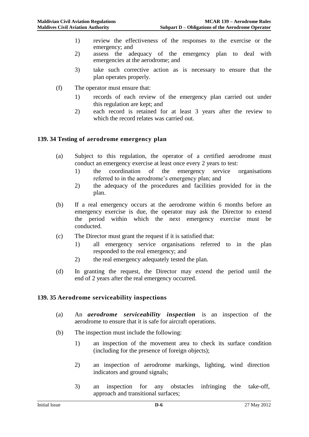- 1) review the effectiveness of the responses to the exercise or the emergency; and
- 2) assess the adequacy of the emergency plan to deal with emergencies at the aerodrome; and
- 3) take such corrective action as is necessary to ensure that the plan operates properly.
- (f) The operator must ensure that:
	- 1) records of each review of the emergency plan carried out under this regulation are kept; and
	- 2) each record is retained for at least 3 years after the review to which the record relates was carried out.

#### **139. 34 Testing of aerodrome emergency plan**

- (a) Subject to this regulation, the operator of a certified aerodrome must conduct an emergency exercise at least once every 2 years to test:
	- 1) the coordination of the emergency service organisations referred to in the aerodrome's emergency plan; and
	- 2) the adequacy of the procedures and facilities provided for in the plan.
- (b) If a real emergency occurs at the aerodrome within 6 months before an emergency exercise is due, the operator may ask the Director to extend the period within which the next emergency exercise must be conducted.
- (c) The Director must grant the request if it is satisfied that:
	- 1) all emergency service organisations referred to in the plan responded to the real emergency; and
	- 2) the real emergency adequately tested the plan.
- (d) In granting the request, the Director may extend the period until the end of 2 years after the real emergency occurred.

#### **139. 35 Aerodrome serviceability inspections**

- (a) An *aerodrome serviceability inspection* is an inspection of the aerodrome to ensure that it is safe for aircraft operations.
- (b) The inspection must include the following:
	- 1) an inspection of the movement area to check its surface condition (including for the presence of foreign objects);
	- 2) an inspection of aerodrome markings, lighting, wind direction indicators and ground signals;
	- 3) an inspection for any obstacles infringing the take-off, approach and transitional surfaces;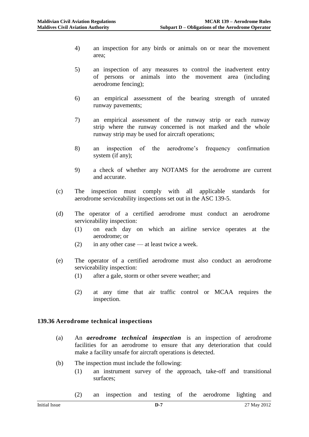- 4) an inspection for any birds or animals on or near the movement area;
- 5) an inspection of any measures to control the inadvertent entry of persons or animals into the movement area (including aerodrome fencing);
- 6) an empirical assessment of the bearing strength of unrated runway pavements;
- 7) an empirical assessment of the runway strip or each runway strip where the runway concerned is not marked and the whole runway strip may be used for aircraft operations;
- 8) an inspection of the aerodrome's frequency confirmation system (if any);
- 9) a check of whether any NOTAMS for the aerodrome are current and accurate.
- (c) The inspection must comply with all applicable standards for aerodrome serviceability inspections set out in the ASC 139-5.
- (d) The operator of a certified aerodrome must conduct an aerodrome serviceability inspection:
	- (1) on each day on which an airline service operates at the aerodrome; or
	- (2) in any other case at least twice a week.
- (e) The operator of a certified aerodrome must also conduct an aerodrome serviceability inspection:
	- (1) after a gale, storm or other severe weather; and
	- (2) at any time that air traffic control or MCAA requires the inspection.

# **139.36 Aerodrome technical inspections**

- (a) An *aerodrome technical inspection* is an inspection of aerodrome facilities for an aerodrome to ensure that any deterioration that could make a facility unsafe for aircraft operations is detected.
- (b) The inspection must include the following:
	- (1) an instrument survey of the approach, take-off and transitional surfaces;
	- (2) an inspection and testing of the aerodrome lighting and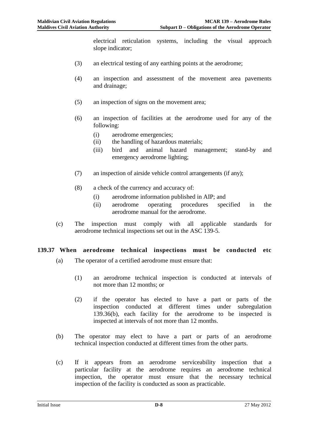electrical reticulation systems, including the visual approach slope indicator;

- (3) an electrical testing of any earthing points at the aerodrome;
- (4) an inspection and assessment of the movement area pavements and drainage;
- (5) an inspection of signs on the movement area;
- (6) an inspection of facilities at the aerodrome used for any of the following:
	- (i) aerodrome emergencies;
	- (ii) the handling of hazardous materials;
	- (iii) bird and animal hazard management; stand-by and emergency aerodrome lighting;
- (7) an inspection of airside vehicle control arrangements (if any);
- (8) a check of the currency and accuracy of:
	- (i) aerodrome information published in AIP; and
	- (ii) aerodrome operating procedures specified in the aerodrome manual for the aerodrome.
- (c) The inspection must comply with all applicable standards for aerodrome technical inspections set out in the ASC 139-5.

## **139.37 When aerodrome technical inspections must be conducted etc**

- (a) The operator of a certified aerodrome must ensure that:
	- (1) an aerodrome technical inspection is conducted at intervals of not more than 12 months; or
	- (2) if the operator has elected to have a part or parts of the inspection conducted at different times under subregulation 139.36(b), each facility for the aerodrome to be inspected is inspected at intervals of not more than 12 months.
- (b) The operator may elect to have a part or parts of an aerodrome technical inspection conducted at different times from the other parts.
- (c) If it appears from an aerodrome serviceability inspection that a particular facility at the aerodrome requires an aerodrome technical inspection, the operator must ensure that the necessary technical inspection of the facility is conducted as soon as practicable.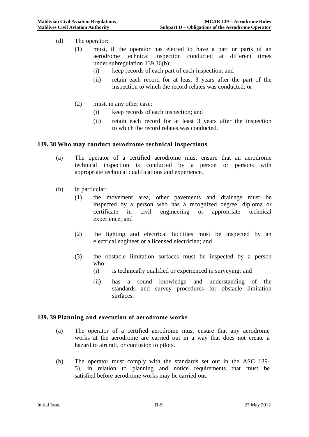- (d) The operator:
	- (1) must, if the operator has elected to have a part or parts of an aerodrome technical inspection conducted at different times under subregulation 139.36(b):
		- (i) keep records of each part of each inspection; and
		- (ii) retain each record for at least 3 years after the part of the inspection to which the record relates was conducted; or
	- (2) must, in any other case:
		- (i) keep records of each inspection; and
		- (ii) retain each record for at least 3 years after the inspection to which the record relates was conducted.

#### **139. 38 Who may conduct aerodrome technical inspections**

- (a) The operator of a certified aerodrome must ensure that an aerodrome technical inspection is conducted by a person or persons with appropriate technical qualifications and experience.
- (b) In particular:
	- (1) the movement area, other pavements and drainage must be inspected by a person who has a recognized degree, diploma or certificate in civil engineering or appropriate technical experience; and
	- (2) the lighting and electrical facilities must be inspected by an electrical engineer or a licensed electrician; and
	- (3) the obstacle limitation surfaces must be inspected by a person who:
		- (i) is technically qualified or experienced in surveying; and
		- (ii) has a sound knowledge and understanding of the standards and survey procedures for obstacle limitation surfaces.

#### **139. 39 Planning and execution of aerodrome works**

- (a) The operator of a certified aerodrome must ensure that any aerodrome works at the aerodrome are carried out in a way that does not create a hazard to aircraft, or confusion to pilots.
- (b) The operator must comply with the standards set out in the ASC 139- 5), in relation to planning and notice requirements that must be satisfied before aerodrome works may be carried out.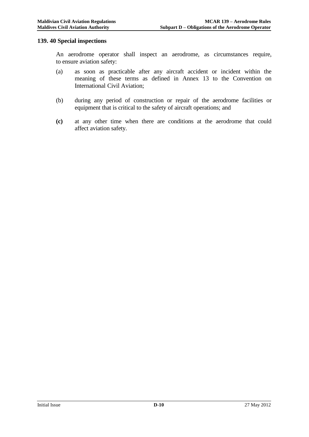#### **139. 40 Special inspections**

An aerodrome operator shall inspect an aerodrome, as circumstances require, to ensure aviation safety:

- (a) as soon as practicable after any aircraft accident or incident within the meaning of these terms as defined in Annex 13 to the Convention on International Civil Aviation;
- (b) during any period of construction or repair of the aerodrome facilities or equipment that is critical to the safety of aircraft operations; and
- **(c)** at any other time when there are conditions at the aerodrome that could affect aviation safety.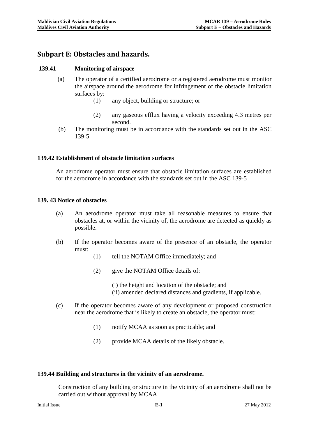# **Subpart E: Obstacles and hazards.**

#### **139.41 Monitoring of airspace**

- (a) The operator of a certified aerodrome or a registered aerodrome must monitor the airspace around the aerodrome for infringement of the obstacle limitation surfaces by:
	- (1) any object, building or structure; or
	- (2) any gaseous efflux having a velocity exceeding 4.3 metres per second.
	- (b) The monitoring must be in accordance with the standards set out in the ASC 139-5

#### **139.42 Establishment of obstacle limitation surfaces**

An aerodrome operator must ensure that obstacle limitation surfaces are established for the aerodrome in accordance with the standards set out in the ASC 139-5

#### **139. 43 Notice of obstacles**

- (a) An aerodrome operator must take all reasonable measures to ensure that obstacles at, or within the vicinity of, the aerodrome are detected as quickly as possible.
- (b) If the operator becomes aware of the presence of an obstacle, the operator must:
	- (1) tell the NOTAM Office immediately; and
	- (2) give the NOTAM Office details of:
		- (i) the height and location of the obstacle; and (ii) amended declared distances and gradients, if applicable.
- (c) If the operator becomes aware of any development or proposed construction near the aerodrome that is likely to create an obstacle, the operator must:
	- (1) notify MCAA as soon as practicable; and
	- (2) provide MCAA details of the likely obstacle.

#### **139.44 Building and structures in the vicinity of an aerodrome.**

Construction of any building or structure in the vicinity of an aerodrome shall not be carried out without approval by MCAA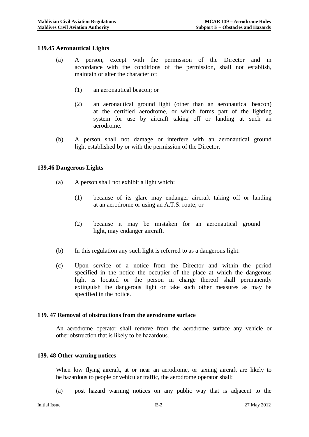#### **139.45 Aeronautical Lights**

- (a) A person, except with the permission of the Director and in accordance with the conditions of the permission, shall not establish, maintain or alter the character of:
	- (1) an aeronautical beacon; or
	- (2) an aeronautical ground light (other than an aeronautical beacon) at the certified aerodrome, or which forms part of the lighting system for use by aircraft taking off or landing at such an aerodrome.
- (b) A person shall not damage or interfere with an aeronautical ground light established by or with the permission of the Director.

#### **139.46 Dangerous Lights**

- (a) A person shall not exhibit a light which:
	- (1) because of its glare may endanger aircraft taking off or landing at an aerodrome or using an A.T.S. route; or
	- (2) because it may be mistaken for an aeronautical ground light, may endanger aircraft.
- (b) In this regulation any such light is referred to as a dangerous light.
- (c) Upon service of a notice from the Director and within the period specified in the notice the occupier of the place at which the dangerous light is located or the person in charge thereof shall permanently extinguish the dangerous light or take such other measures as may be specified in the notice.

#### **139. 47 Removal of obstructions from the aerodrome surface**

An aerodrome operator shall remove from the aerodrome surface any vehicle or other obstruction that is likely to be hazardous.

#### **139. 48 Other warning notices**

When low flying aircraft, at or near an aerodrome, or taxiing aircraft are likely to be hazardous to people or vehicular traffic, the aerodrome operator shall:

(a) post hazard warning notices on any public way that is adjacent to the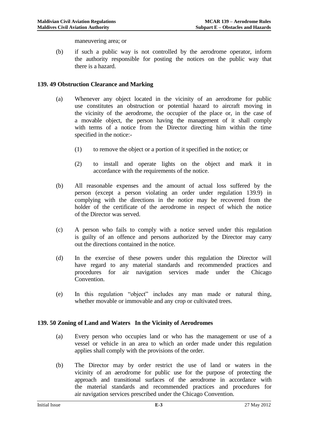maneuvering area; or

(b) if such a public way is not controlled by the aerodrome operator, inform the authority responsible for posting the notices on the public way that there is a hazard.

#### **139. 49 Obstruction Clearance and Marking**

- (a) Whenever any object located in the vicinity of an aerodrome for public use constitutes an obstruction or potential hazard to aircraft moving in the vicinity of the aerodrome, the occupier of the place or, in the case of a movable object, the person having the management of it shall comply with terms of a notice from the Director directing him within the time specified in the notice:-
	- (1) to remove the object or a portion of it specified in the notice; or
	- (2) to install and operate lights on the object and mark it in accordance with the requirements of the notice.
- (b) All reasonable expenses and the amount of actual loss suffered by the person (except a person violating an order under regulation 139.9) in complying with the directions in the notice may be recovered from the holder of the certificate of the aerodrome in respect of which the notice of the Director was served.
- (c) A person who fails to comply with a notice served under this regulation is guilty of an offence and persons authorized by the Director may carry out the directions contained in the notice.
- (d) In the exercise of these powers under this regulation the Director will have regard to any material standards and recommended practices and procedures for air navigation services made under the Chicago Convention.
- (e) In this regulation "object" includes any man made or natural thing, whether movable or immovable and any crop or cultivated trees.

# **139. 50 Zoning of Land and Waters In the Vicinity of Aerodromes**

- (a) Every person who occupies land or who has the management or use of a vessel or vehicle in an area to which an order made under this regulation applies shall comply with the provisions of the order.
- (b) The Director may by order restrict the use of land or waters in the vicinity of an aerodrome for public use for the purpose of protecting the approach and transitional surfaces of the aerodrome in accordance with the material standards and recommended practices and procedures for air navigation services prescribed under the Chicago Convention.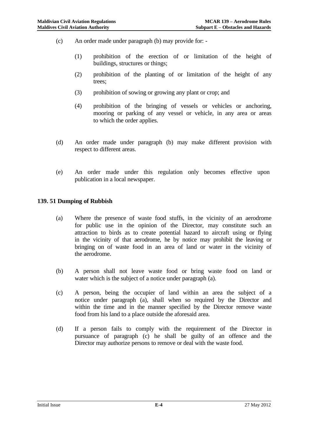- (c) An order made under paragraph (b) may provide for:
	- (1) prohibition of the erection of or limitation of the height of buildings, structures or things;
	- (2) prohibition of the planting of or limitation of the height of any trees;
	- (3) prohibition of sowing or growing any plant or crop; and
	- (4) prohibition of the bringing of vessels or vehicles or anchoring, mooring or parking of any vessel or vehicle, in any area or areas to which the order applies.
- (d) An order made under paragraph (b) may make different provision with respect to different areas.
- (e) An order made under this regulation only becomes effective upon publication in a local newspaper.

#### **139. 51 Dumping of Rubbish**

- (a) Where the presence of waste food stuffs, in the vicinity of an aerodrome for public use in the opinion of the Director, may constitute such an attraction to birds as to create potential hazard to aircraft using or flying in the vicinity of that aerodrome, he by notice may prohibit the leaving or bringing on of waste food in an area of land or water in the vicinity of the aerodrome.
- (b) A person shall not leave waste food or bring waste food on land or water which is the subject of a notice under paragraph (a).
- (c) A person, being the occupier of land within an area the subject of a notice under paragraph (a), shall when so required by the Director and within the time and in the manner specified by the Director remove waste food from his land to a place outside the aforesaid area.
- (d) If a person fails to comply with the requirement of the Director in pursuance of paragraph (c) he shall be guilty of an offence and the Director may authorize persons to remove or deal with the waste food.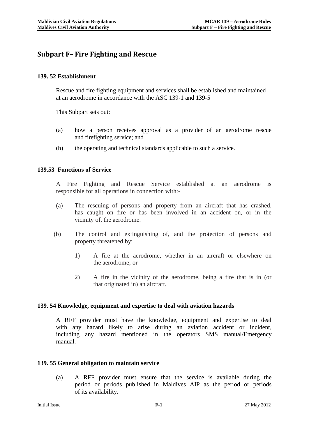# **Subpart F– Fire Fighting and Rescue**

## **139. 52 Establishment**

Rescue and fire fighting equipment and services shall be established and maintained at an aerodrome in accordance with the ASC 139-1 and 139-5

This Subpart sets out:

- (a) how a person receives approval as a provider of an aerodrome rescue and firefighting service; and
- (b) the operating and technical standards applicable to such a service.

#### **139.53 Functions of Service**

A Fire Fighting and Rescue Service established at an aerodrome is responsible for all operations in connection with:-

- (a) The rescuing of persons and property from an aircraft that has crashed, has caught on fire or has been involved in an accident on, or in the vicinity of, the aerodrome.
- (b) The control and extinguishing of, and the protection of persons and property threatened by:
	- 1) A fire at the aerodrome, whether in an aircraft or elsewhere on the aerodrome; or
	- 2) A fire in the vicinity of the aerodrome, being a fire that is in (or that originated in) an aircraft.

#### **139. 54 Knowledge, equipment and expertise to deal with aviation hazards**

A RFF provider must have the knowledge, equipment and expertise to deal with any hazard likely to arise during an aviation accident or incident, including any hazard mentioned in the operators SMS manual/Emergency manual.

#### **139. 55 General obligation to maintain service**

(a) A RFF provider must ensure that the service is available during the period or periods published in Maldives AIP as the period or periods of its availability.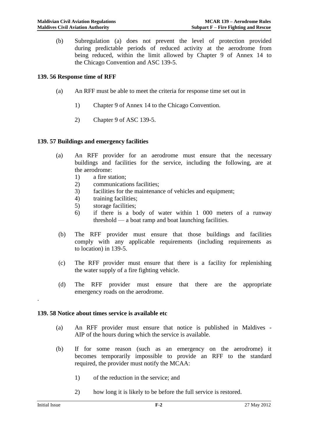(b) Subregulation (a) does not prevent the level of protection provided during predictable periods of reduced activity at the aerodrome from being reduced, within the limit allowed by Chapter 9 of Annex 14 to the Chicago Convention and ASC 139-5.

## **139. 56 Response time of RFF**

- (a) An RFF must be able to meet the criteria for response time set out in
	- 1) Chapter 9 of Annex 14 to the Chicago Convention.
	- 2) Chapter 9 of ASC 139-5.

#### **139. 57 Buildings and emergency facilities**

- (a) An RFF provider for an aerodrome must ensure that the necessary buildings and facilities for the service, including the following, are at the aerodrome:
	- 1) a fire station;
	- 2) communications facilities;
	- 3) facilities for the maintenance of vehicles and equipment;
	- 4) training facilities;
	- 5) storage facilities;
	- 6) if there is a body of water within 1 000 meters of a runway threshold — a boat ramp and boat launching facilities.
- (b) The RFF provider must ensure that those buildings and facilities comply with any applicable requirements (including requirements as to location) in 139-5.
- (c) The RFF provider must ensure that there is a facility for replenishing the water supply of a fire fighting vehicle.
- (d) The RFF provider must ensure that there are the appropriate emergency roads on the aerodrome.

#### **139. 58 Notice about times service is available etc**

- (a) An RFF provider must ensure that notice is published in Maldives AIP of the hours during which the service is available.
- (b) If for some reason (such as an emergency on the aerodrome) it becomes temporarily impossible to provide an RFF to the standard required, the provider must notify the MCAA:
	- 1) of the reduction in the service; and
	- 2) how long it is likely to be before the full service is restored.

.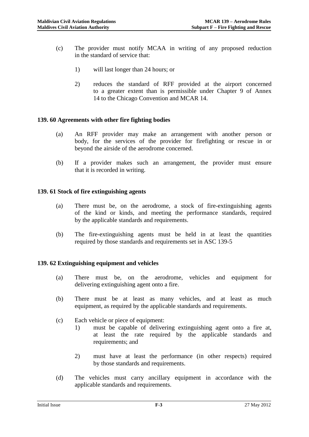- (c) The provider must notify MCAA in writing of any proposed reduction in the standard of service that:
	- 1) will last longer than 24 hours; or
	- 2) reduces the standard of RFF provided at the airport concerned to a greater extent than is permissible under Chapter 9 of Annex 14 to the Chicago Convention and MCAR 14.

#### **139. 60 Agreements with other fire fighting bodies**

- (a) An RFF provider may make an arrangement with another person or body, for the services of the provider for firefighting or rescue in or beyond the airside of the aerodrome concerned.
- (b) If a provider makes such an arrangement, the provider must ensure that it is recorded in writing.

#### **139. 61 Stock of fire extinguishing agents**

- (a) There must be, on the aerodrome, a stock of fire-extinguishing agents of the kind or kinds, and meeting the performance standards, required by the applicable standards and requirements.
- (b) The fire-extinguishing agents must be held in at least the quantities required by those standards and requirements set in ASC 139-5

#### **139. 62 Extinguishing equipment and vehicles**

- (a) There must be, on the aerodrome, vehicles and equipment for delivering extinguishing agent onto a fire.
- (b) There must be at least as many vehicles, and at least as much equipment, as required by the applicable standards and requirements.
- (c) Each vehicle or piece of equipment:
	- 1) must be capable of delivering extinguishing agent onto a fire at, at least the rate required by the applicable standards and requirements; and
	- 2) must have at least the performance (in other respects) required by those standards and requirements.
- (d) The vehicles must carry ancillary equipment in accordance with the applicable standards and requirements.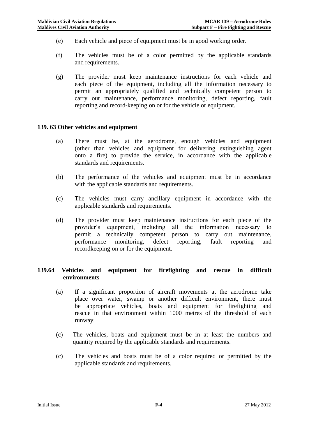- (e) Each vehicle and piece of equipment must be in good working order.
- (f) The vehicles must be of a color permitted by the applicable standards and requirements.
- (g) The provider must keep maintenance instructions for each vehicle and each piece of the equipment, including all the information necessary to permit an appropriately qualified and technically competent person to carry out maintenance, performance monitoring, defect reporting, fault reporting and record-keeping on or for the vehicle or equipment.

#### **139. 63 Other vehicles and equipment**

- (a) There must be, at the aerodrome, enough vehicles and equipment (other than vehicles and equipment for delivering extinguishing agent onto a fire) to provide the service, in accordance with the applicable standards and requirements.
- (b) The performance of the vehicles and equipment must be in accordance with the applicable standards and requirements.
- (c) The vehicles must carry ancillary equipment in accordance with the applicable standards and requirements.
- (d) The provider must keep maintenance instructions for each piece of the provider's equipment, including all the information necessary to permit a technically competent person to carry out maintenance, performance monitoring, defect reporting, fault reporting and recordkeeping on or for the equipment.

#### **139.64 Vehicles and equipment for firefighting and rescue in difficult environments**

- (a) If a significant proportion of aircraft movements at the aerodrome take place over water, swamp or another difficult environment, there must be appropriate vehicles, boats and equipment for firefighting and rescue in that environment within 1000 metres of the threshold of each runway.
- (c) The vehicles, boats and equipment must be in at least the numbers and quantity required by the applicable standards and requirements.
- (c) The vehicles and boats must be of a color required or permitted by the applicable standards and requirements.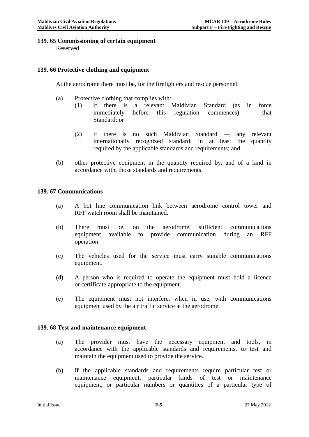# **139. 65 Commissioning of certain equipment**

Reserved

#### **139. 66 Protective clothing and equipment**

At the aerodrome there must be, for the firefighters and rescue personnel:

- (a) Protective clothing that complies with:
	- (1) if there is a relevant Maldivian Standard (as in force immediately before this regulation commences) — that Standard; or
	- (2) if there is no such Maldivian Standard any relevant internationally recognized standard; in at least the quantity required by the applicable standards and requirements; and
- (b) other protective equipment in the quantity required by, and of a kind in accordance with, those standards and requirements.

#### **139. 67 Communications**

- (a) A hot line communication link between aerodrome control tower and RFF watch room shall be maintained.
- (b) There must be, on the aerodrome, sufficient communications equipment available to provide communication during an RFF operation.
- (c) The vehicles used for the service must carry suitable communications equipment.
- (d) A person who is required to operate the equipment must hold a licence or certificate appropriate to the equipment.
- (e) The equipment must not interfere, when in use, with communications equipment used by the air traffic service at the aerodrome.

#### **139. 68 Test and maintenance equipment**

- (a) The provider must have the necessary equipment and tools, in accordance with the applicable standards and requirements, to test and maintain the equipment used to provide the service.
- (b) If the applicable standards and requirements require particular test or maintenance equipment, particular kinds of test or maintenance equipment, or particular numbers or quantities of a particular type of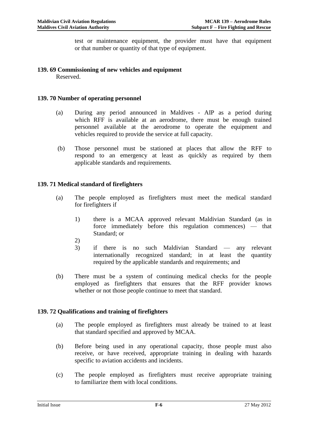test or maintenance equipment, the provider must have that equipment or that number or quantity of that type of equipment.

# **139. 69 Commissioning of new vehicles and equipment**

Reserved.

# **139. 70 Number of operating personnel**

- (a) During any period announced in Maldives AIP as a period during which RFF is available at an aerodrome, there must be enough trained personnel available at the aerodrome to operate the equipment and vehicles required to provide the service at full capacity.
- (b) Those personnel must be stationed at places that allow the RFF to respond to an emergency at least as quickly as required by them applicable standards and requirements.

# **139. 71 Medical standard of firefighters**

- (a) The people employed as firefighters must meet the medical standard for firefighters if
	- 1) there is a MCAA approved relevant Maldivian Standard (as in force immediately before this regulation commences) — that Standard; or
	- 2)
	- 3) if there is no such Maldivian Standard any relevant internationally recognized standard; in at least the quantity required by the applicable standards and requirements; and
- (b) There must be a system of continuing medical checks for the people employed as firefighters that ensures that the RFF provider knows whether or not those people continue to meet that standard.

# **139. 72 Qualifications and training of firefighters**

- (a) The people employed as firefighters must already be trained to at least that standard specified and approved by MCAA.
- (b) Before being used in any operational capacity, those people must also receive, or have received, appropriate training in dealing with hazards specific to aviation accidents and incidents.
- (c) The people employed as firefighters must receive appropriate training to familiarize them with local conditions.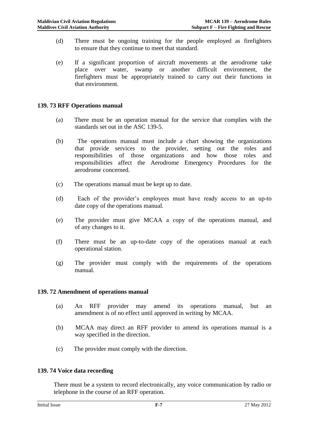- (d) There must be ongoing training for the people employed as firefighters to ensure that they continue to meet that standard.
- (e) If a significant proportion of aircraft movements at the aerodrome take place over water, swamp or another difficult environment, the firefighters must be appropriately trained to carry out their functions in that environment.

#### **139. 73 RFF Operations manual**

- (a) There must be an operation manual for the service that complies with the standards set out in the ASC 139-5.
- (b) The operations manual must include a chart showing the organizations that provide services to the provider, setting out the roles and responsibilities of those organizations and how those roles and responsibilities affect the Aerodrome Emergency Procedures for the aerodrome concerned.
- (c) The operations manual must be kept up to date.
- (d) Each of the provider's employees must have ready access to an up-to date copy of the operations manual.
- (e) The provider must give MCAA a copy of the operations manual, and of any changes to it.
- (f) There must be an up-to-date copy of the operations manual at each operational station.
- (g) The provider must comply with the requirements of the operations manual.

#### **139. 72 Amendment of operations manual**

- (a) An RFF provider may amend its operations manual, but an amendment is of no effect until approved in writing by MCAA.
- (b) MCAA may direct an RFF provider to amend its operations manual is a way specified in the direction.
- (c) The provider must comply with the direction.

#### **139. 74 Voice data recording**

There must be a system to record electronically, any voice communication by radio or telephone in the course of an RFF operation.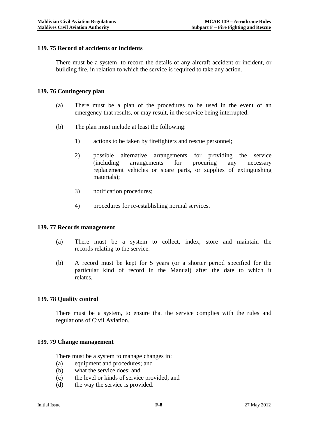#### **139. 75 Record of accidents or incidents**

There must be a system, to record the details of any aircraft accident or incident, or building fire, in relation to which the service is required to take any action.

#### **139. 76 Contingency plan**

- (a) There must be a plan of the procedures to be used in the event of an emergency that results, or may result, in the service being interrupted.
- (b) The plan must include at least the following:
	- 1) actions to be taken by firefighters and rescue personnel;
	- 2) possible alternative arrangements for providing the service (including arrangements for procuring any necessary replacement vehicles or spare parts, or supplies of extinguishing materials);
	- 3) notification procedures;
	- 4) procedures for re-establishing normal services.

#### **139. 77 Records management**

- (a) There must be a system to collect, index, store and maintain the records relating to the service.
- (b) A record must be kept for 5 years (or a shorter period specified for the particular kind of record in the Manual) after the date to which it relates.

#### **139. 78 Quality control**

There must be a system, to ensure that the service complies with the rules and regulations of Civil Aviation.

#### **139. 79 Change management**

There must be a system to manage changes in:

- (a) equipment and procedures; and
- (b) what the service does; and
- (c) the level or kinds of service provided; and
- (d) the way the service is provided.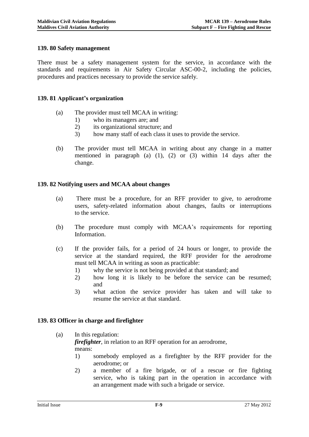## **139. 80 Safety management**

There must be a safety management system for the service, in accordance with the standards and requirements in Air Safety Circular ASC-00-2, including the policies, procedures and practices necessary to provide the service safely.

#### **139. 81 Applicant's organization**

- (a) The provider must tell MCAA in writing:
	- 1) who its managers are; and
	- 2) its organizational structure; and
	- 3) how many staff of each class it uses to provide the service.
- (b) The provider must tell MCAA in writing about any change in a matter mentioned in paragraph (a) (1), (2) or (3) within 14 days after the change.

#### **139. 82 Notifying users and MCAA about changes**

- (a) There must be a procedure, for an RFF provider to give, to aerodrome users, safety-related information about changes, faults or interruptions to the service.
- (b) The procedure must comply with MCAA's requirements for reporting Information.
- (c) If the provider fails, for a period of 24 hours or longer, to provide the service at the standard required, the RFF provider for the aerodrome must tell MCAA in writing as soon as practicable:
	- 1) why the service is not being provided at that standard; and
	- 2) how long it is likely to be before the service can be resumed; and
	- 3) what action the service provider has taken and will take to resume the service at that standard.

#### **139. 83 Officer in charge and firefighter**

(a) In this regulation: *firefighter*, in relation to an RFF operation for an aerodrome, means:

- 1) somebody employed as a firefighter by the RFF provider for the aerodrome; or
- 2) a member of a fire brigade, or of a rescue or fire fighting service, who is taking part in the operation in accordance with an arrangement made with such a brigade or service.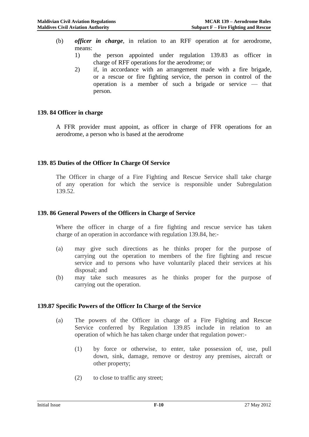- (b) *officer in charge*, in relation to an RFF operation at for aerodrome, means:
	- 1) the person appointed under regulation 139.83 as officer in charge of RFF operations for the aerodrome; or
	- 2) if, in accordance with an arrangement made with a fire brigade, or a rescue or fire fighting service, the person in control of the operation is a member of such a brigade or service — that person.

#### **139. 84 Officer in charge**

A FFR provider must appoint, as officer in charge of FFR operations for an aerodrome, a person who is based at the aerodrome

#### **139. 85 Duties of the Officer In Charge Of Service**

The Officer in charge of a Fire Fighting and Rescue Service shall take charge of any operation for which the service is responsible under Subregulation 139.52.

#### **139. 86 General Powers of the Officers in Charge of Service**

Where the officer in charge of a fire fighting and rescue service has taken charge of an operation in accordance with regulation 139.84, he:-

- (a) may give such directions as he thinks proper for the purpose of carrying out the operation to members of the fire fighting and rescue service and to persons who have voluntarily placed their services at his disposal; and
- (b) may take such measures as he thinks proper for the purpose of carrying out the operation.

#### **139.87 Specific Powers of the Officer In Charge of the Service**

- (a) The powers of the Officer in charge of a Fire Fighting and Rescue Service conferred by Regulation 139.85 include in relation to an operation of which he has taken charge under that regulation power:-
	- (1) by force or otherwise, to enter, take possession of, use, pull down, sink, damage, remove or destroy any premises, aircraft or other property;
	- (2) to close to traffic any street;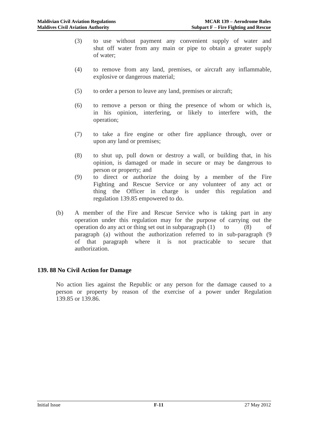- (3) to use without payment any convenient supply of water and shut off water from any main or pipe to obtain a greater supply of water;
- (4) to remove from any land, premises, or aircraft any inflammable, explosive or dangerous material;
- (5) to order a person to leave any land, premises or aircraft;
- (6) to remove a person or thing the presence of whom or which is, in his opinion, interfering, or likely to interfere with, the operation;
- (7) to take a fire engine or other fire appliance through, over or upon any land or premises;
- (8) to shut up, pull down or destroy a wall, or building that, in his opinion, is damaged or made in secure or may be dangerous to person or property; and
- (9) to direct or authorize the doing by a member of the Fire Fighting and Rescue Service or any volunteer of any act or thing the Officer in charge is under this regulation and regulation 139.85 empowered to do.
- (b) A member of the Fire and Rescue Service who is taking part in any operation under this regulation may for the purpose of carrying out the operation do any act or thing set out in subparagraph  $(1)$  to  $(8)$  of paragraph (a) without the authorization referred to in sub-paragraph (9 of that paragraph where it is not practicable to secure that authorization.

# **139. 88 No Civil Action for Damage**

No action lies against the Republic or any person for the damage caused to a person or property by reason of the exercise of a power under Regulation 139.85 or 139.86.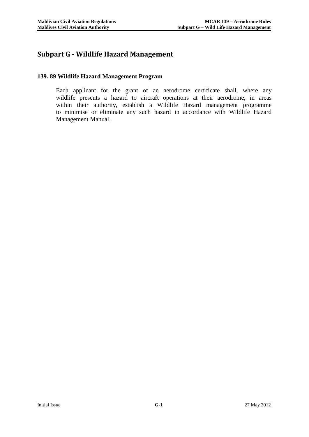# **Subpart G - Wildlife Hazard Management**

#### **139. 89 Wildlife Hazard Management Program**

Each applicant for the grant of an aerodrome certificate shall, where any wildlife presents a hazard to aircraft operations at their aerodrome, in areas within their authority, establish a Wildlife Hazard management programme to minimise or eliminate any such hazard in accordance with Wildlife Hazard Management Manual.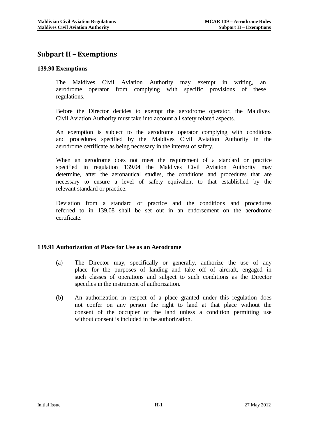# **Subpart H – Exemptions**

#### **139.90 Exemptions**

The Maldives Civil Aviation Authority may exempt in writing, an aerodrome operator from complying with specific provisions of these regulations.

Before the Director decides to exempt the aerodrome operator, the Maldives Civil Aviation Authority must take into account all safety related aspects.

An exemption is subject to the aerodrome operator complying with conditions and procedures specified by the Maldives Civil Aviation Authority in the aerodrome certificate as being necessary in the interest of safety.

When an aerodrome does not meet the requirement of a standard or practice specified in regulation 139.04 the Maldives Civil Aviation Authority may determine, after the aeronautical studies, the conditions and procedures that are necessary to ensure a level of safety equivalent to that established by the relevant standard or practice.

Deviation from a standard or practice and the conditions and procedures referred to in 139.08 shall be set out in an endorsement on the aerodrome certificate.

# **139.91 Authorization of Place for Use as an Aerodrome**

- (a) The Director may, specifically or generally, authorize the use of any place for the purposes of landing and take off of aircraft, engaged in such classes of operations and subject to such conditions as the Director specifies in the instrument of authorization.
- (b) An authorization in respect of a place granted under this regulation does not confer on any person the right to land at that place without the consent of the occupier of the land unless a condition permitting use without consent is included in the authorization.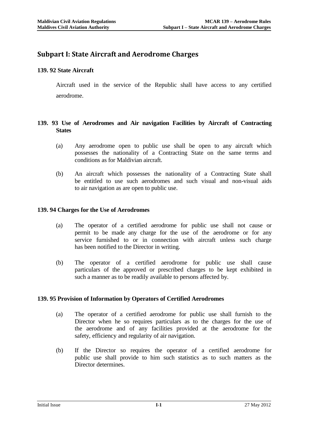# **Subpart I: State Aircraft and Aerodrome Charges**

# **139. 92 State Aircraft**

Aircraft used in the service of the Republic shall have access to any certified aerodrome.

## **139. 93 Use of Aerodromes and Air navigation Facilities by Aircraft of Contracting States**

- (a) Any aerodrome open to public use shall be open to any aircraft which possesses the nationality of a Contracting State on the same terms and conditions as for Maldivian aircraft.
- (b) An aircraft which possesses the nationality of a Contracting State shall be entitled to use such aerodromes and such visual and non-visual aids to air navigation as are open to public use.

#### **139. 94 Charges for the Use of Aerodromes**

- (a) The operator of a certified aerodrome for public use shall not cause or permit to be made any charge for the use of the aerodrome or for any service furnished to or in connection with aircraft unless such charge has been notified to the Director in writing.
- (b) The operator of a certified aerodrome for public use shall cause particulars of the approved or prescribed charges to be kept exhibited in such a manner as to be readily available to persons affected by.

#### **139. 95 Provision of Information by Operators of Certified Aerodromes**

- (a) The operator of a certified aerodrome for public use shall furnish to the Director when he so requires particulars as to the charges for the use of the aerodrome and of any facilities provided at the aerodrome for the safety, efficiency and regularity of air navigation.
- (b) If the Director so requires the operator of a certified aerodrome for public use shall provide to him such statistics as to such matters as the Director determines.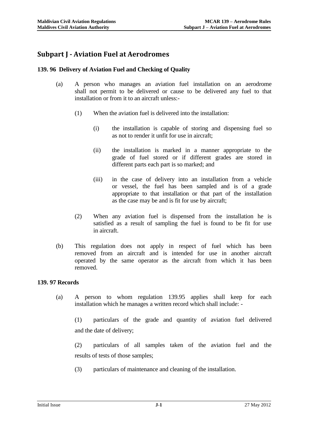# **Subpart J - Aviation Fuel at Aerodromes**

#### **139. 96 Delivery of Aviation Fuel and Checking of Quality**

- (a) A person who manages an aviation fuel installation on an aerodrome shall not permit to be delivered or cause to be delivered any fuel to that installation or from it to an aircraft unless:-
	- (1) When the aviation fuel is delivered into the installation:
		- (i) the installation is capable of storing and dispensing fuel so as not to render it unfit for use in aircraft;
		- (ii) the installation is marked in a manner appropriate to the grade of fuel stored or if different grades are stored in different parts each part is so marked; and
		- (iii) in the case of delivery into an installation from a vehicle or vessel, the fuel has been sampled and is of a grade appropriate to that installation or that part of the installation as the case may be and is fit for use by aircraft;
	- (2) When any aviation fuel is dispensed from the installation he is satisfied as a result of sampling the fuel is found to be fit for use in aircraft.
- (b) This regulation does not apply in respect of fuel which has been removed from an aircraft and is intended for use in another aircraft operated by the same operator as the aircraft from which it has been removed.

## **139. 97 Records**

(a) A person to whom regulation 139.95 applies shall keep for each installation which he manages a written record which shall include: -

(1) particulars of the grade and quantity of aviation fuel delivered and the date of delivery;

(2) particulars of all samples taken of the aviation fuel and the results of tests of those samples;

(3) particulars of maintenance and cleaning of the installation.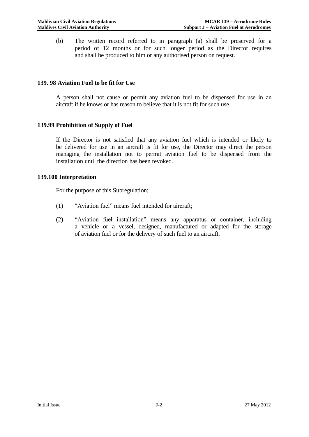(b) The written record referred to in paragraph (a) shall be preserved for a period of 12 months or for such longer period as the Director requires and shall be produced to him or any authorised person on request.

## **139. 98 Aviation Fuel to be fit for Use**

A person shall not cause or permit any aviation fuel to be dispensed for use in an aircraft if he knows or has reason to believe that it is not fit for such use.

#### **139.99 Prohibition of Supply of Fuel**

If the Director is not satisfied that any aviation fuel which is intended or likely to be delivered for use in an aircraft is fit for use, the Director may direct the person managing the installation not to permit aviation fuel to be dispensed from the installation until the direction has been revoked.

#### **139.100 Interpretation**

For the purpose of this Subregulation;

- (1) "Aviation fuel" means fuel intended for aircraft;
- (2) "Aviation fuel installation" means any apparatus or container, including a vehicle or a vessel, designed, manufactured or adapted for the storage of aviation fuel or for the delivery of such fuel to an aircraft.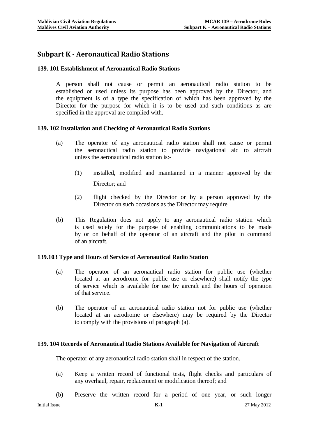# **Subpart K - Aeronautical Radio Stations**

#### **139. 101 Establishment of Aeronautical Radio Stations**

A person shall not cause or permit an aeronautical radio station to be established or used unless its purpose has been approved by the Director, and the equipment is of a type the specification of which has been approved by the Director for the purpose for which it is to be used and such conditions as are specified in the approval are complied with.

#### **139. 102 Installation and Checking of Aeronautical Radio Stations**

- (a) The operator of any aeronautical radio station shall not cause or permit the aeronautical radio station to provide navigational aid to aircraft unless the aeronautical radio station is:-
	- (1) installed, modified and maintained in a manner approved by the Director; and
	- (2) flight checked by the Director or by a person approved by the Director on such occasions as the Director may require.
- (b) This Regulation does not apply to any aeronautical radio station which is used solely for the purpose of enabling communications to be made by or on behalf of the operator of an aircraft and the pilot in command of an aircraft.

#### **139.103 Type and Hours of Service of Aeronautical Radio Station**

- (a) The operator of an aeronautical radio station for public use (whether located at an aerodrome for public use or elsewhere) shall notify the type of service which is available for use by aircraft and the hours of operation of that service.
- (b) The operator of an aeronautical radio station not for public use (whether located at an aerodrome or elsewhere) may be required by the Director to comply with the provisions of paragraph (a).

#### **139. 104 Records of Aeronautical Radio Stations Available for Navigation of Aircraft**

The operator of any aeronautical radio station shall in respect of the station.

- (a) Keep a written record of functional tests, flight checks and particulars of any overhaul, repair, replacement or modification thereof; and
- (b) Preserve the written record for a period of one year, or such longer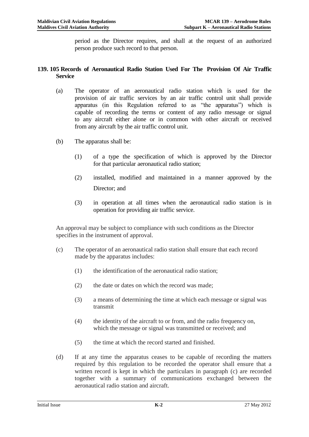period as the Director requires, and shall at the request of an authorized person produce such record to that person.

## **139. 105 Records of Aeronautical Radio Station Used For The Provision Of Air Traffic Service**

- (a) The operator of an aeronautical radio station which is used for the provision of air traffic services by an air traffic control unit shall provide apparatus (in this Regulation referred to as "the apparatus") which is capable of recording the terms or content of any radio message or signal to any aircraft either alone or in common with other aircraft or received from any aircraft by the air traffic control unit.
- (b) The apparatus shall be:
	- (1) of a type the specification of which is approved by the Director for that particular aeronautical radio station;
	- (2) installed, modified and maintained in a manner approved by the Director; and
	- (3) in operation at all times when the aeronautical radio station is in operation for providing air traffic service.

An approval may be subject to compliance with such conditions as the Director specifies in the instrument of approval.

- (c) The operator of an aeronautical radio station shall ensure that each record made by the apparatus includes:
	- (1) the identification of the aeronautical radio station;
	- (2) the date or dates on which the record was made;
	- (3) a means of determining the time at which each message or signal was transmit
	- (4) the identity of the aircraft to or from, and the radio frequency on, which the message or signal was transmitted or received; and
	- (5) the time at which the record started and finished.
- (d) If at any time the apparatus ceases to be capable of recording the matters required by this regulation to be recorded the operator shall ensure that a written record is kept in which the particulars in paragraph (c) are recorded together with a summary of communications exchanged between the aeronautical radio station and aircraft.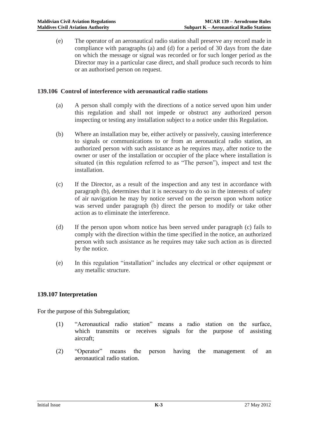(e) The operator of an aeronautical radio station shall preserve any record made in compliance with paragraphs (a) and (d) for a period of 30 days from the date on which the message or signal was recorded or for such longer period as the Director may in a particular case direct, and shall produce such records to him or an authorised person on request.

#### **139.106 Control of interference with aeronautical radio stations**

- (a) A person shall comply with the directions of a notice served upon him under this regulation and shall not impede or obstruct any authorized person inspecting or testing any installation subject to a notice under this Regulation.
- (b) Where an installation may be, either actively or passively, causing interference to signals or communications to or from an aeronautical radio station, an authorized person with such assistance as he requires may, after notice to the owner or user of the installation or occupier of the place where installation is situated (in this regulation referred to as "The person"), inspect and test the installation.
- (c) If the Director, as a result of the inspection and any test in accordance with paragraph (b), determines that it is necessary to do so in the interests of safety of air navigation he may by notice served on the person upon whom notice was served under paragraph (b) direct the person to modify or take other action as to eliminate the interference.
- (d) If the person upon whom notice has been served under paragraph (c) fails to comply with the direction within the time specified in the notice, an authorized person with such assistance as he requires may take such action as is directed by the notice.
- (e) In this regulation "installation" includes any electrical or other equipment or any metallic structure.

# **139.107 Interpretation**

For the purpose of this Subregulation;

- (1) "Aeronautical radio station" means a radio station on the surface, which transmits or receives signals for the purpose of assisting aircraft;
- (2) "Operator" means the person having the management of an aeronautical radio station.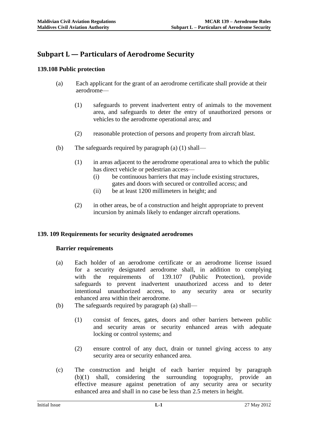# **Subpart L — Particulars of Aerodrome Security**

# **139.108 Public protection**

- (a) Each applicant for the grant of an aerodrome certificate shall provide at their aerodrome—
	- (1) safeguards to prevent inadvertent entry of animals to the movement area, and safeguards to deter the entry of unauthorized persons or vehicles to the aerodrome operational area; and
	- (2) reasonable protection of persons and property from aircraft blast.
- (b) The safeguards required by paragraph (a) (1) shall—
	- (1) in areas adjacent to the aerodrome operational area to which the public has direct vehicle or pedestrian access—
		- (i) be continuous barriers that may include existing structures, gates and doors with secured or controlled access; and
		- (ii) be at least 1200 millimeters in height; and
	- (2) in other areas, be of a construction and height appropriate to prevent incursion by animals likely to endanger aircraft operations.

# **139. 109 Requirements for security designated aerodromes**

# **Barrier requirements**

- (a) Each holder of an aerodrome certificate or an aerodrome license issued for a security designated aerodrome shall, in addition to complying with the requirements of 139.107 (Public Protection), provide safeguards to prevent inadvertent unauthorized access and to deter intentional unauthorized access, to any security area or security enhanced area within their aerodrome.
- (b) The safeguards required by paragraph (a) shall—
	- (1) consist of fences, gates, doors and other barriers between public and security areas or security enhanced areas with adequate locking or control systems; and
	- (2) ensure control of any duct, drain or tunnel giving access to any security area or security enhanced area.
- (c) The construction and height of each barrier required by paragraph (b)(1) shall, considering the surrounding topography, provide an effective measure against penetration of any security area or security enhanced area and shall in no case be less than 2.5 meters in height.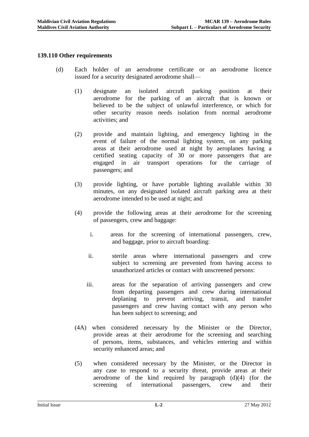## **139.110 Other requirements**

- (d) Each holder of an aerodrome certificate or an aerodrome licence issued for a security designated aerodrome shall—
	- (1) designate an isolated aircraft parking position at their aerodrome for the parking of an aircraft that is known or believed to be the subject of unlawful interference, or which for other security reason needs isolation from normal aerodrome activities; and
	- (2) provide and maintain lighting, and emergency lighting in the event of failure of the normal lighting system, on any parking areas at their aerodrome used at night by aeroplanes having a certified seating capacity of 30 or more passengers that are engaged in air transport operations for the carriage of passengers; and
	- (3) provide lighting, or have portable lighting available within 30 minutes, on any designated isolated aircraft parking area at their aerodrome intended to be used at night; and
	- (4) provide the following areas at their aerodrome for the screening of passengers, crew and baggage:
		- i. areas for the screening of international passengers, crew, and baggage, prior to aircraft boarding:
		- ii. sterile areas where international passengers and crew subject to screening are prevented from having access to unauthorized articles or contact with unscreened persons:
		- iii. areas for the separation of arriving passengers and crew from departing passengers and crew during international deplaning to prevent arriving, transit, and transfer passengers and crew having contact with any person who has been subject to screening; and
	- (4A) when considered necessary by the Minister or the Director, provide areas at their aerodrome for the screening and searching of persons, items, substances, and vehicles entering and within security enhanced areas; and
	- (5) when considered necessary by the Minister, or the Director in any case to respond to a security threat, provide areas at their aerodrome of the kind required by paragraph (d)(4) (for the screening of international passengers, crew and their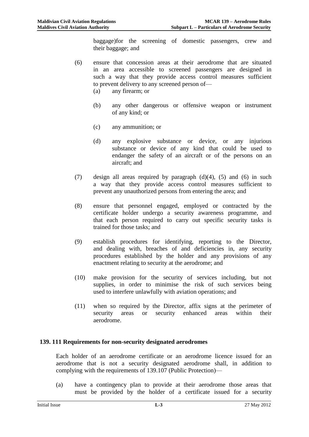baggage)for the screening of domestic passengers, crew and their baggage; and

- (6) ensure that concession areas at their aerodrome that are situated in an area accessible to screened passengers are designed in such a way that they provide access control measures sufficient to prevent delivery to any screened person of—
	- (a) any firearm; or
	- (b) any other dangerous or offensive weapon or instrument of any kind; or
	- (c) any ammunition; or
	- (d) any explosive substance or device, or any injurious substance or device of any kind that could be used to endanger the safety of an aircraft or of the persons on an aircraft; and
- (7) design all areas required by paragraph (d)(4), (5) and (6) in such a way that they provide access control measures sufficient to prevent any unauthorized persons from entering the area; and
- (8) ensure that personnel engaged, employed or contracted by the certificate holder undergo a security awareness programme, and that each person required to carry out specific security tasks is trained for those tasks; and
- (9) establish procedures for identifying, reporting to the Director, and dealing with, breaches of and deficiencies in, any security procedures established by the holder and any provisions of any enactment relating to security at the aerodrome; and
- (10) make provision for the security of services including, but not supplies, in order to minimise the risk of such services being used to interfere unlawfully with aviation operations; and
- (11) when so required by the Director, affix signs at the perimeter of security areas or security enhanced areas within their aerodrome.

# **139. 111 Requirements for non-security designated aerodromes**

Each holder of an aerodrome certificate or an aerodrome licence issued for an aerodrome that is not a security designated aerodrome shall, in addition to complying with the requirements of 139.107 (Public Protection)—

(a) have a contingency plan to provide at their aerodrome those areas that must be provided by the holder of a certificate issued for a security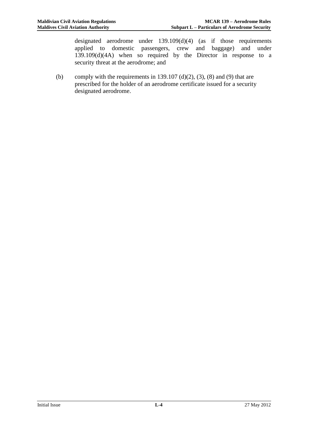designated aerodrome under 139.109(d)(4) (as if those requirements applied to domestic passengers, crew and baggage) and under 139.109(d)(4A) when so required by the Director in response to a security threat at the aerodrome; and

(b) comply with the requirements in 139.107 (d)(2), (3), (8) and (9) that are prescribed for the holder of an aerodrome certificate issued for a security designated aerodrome.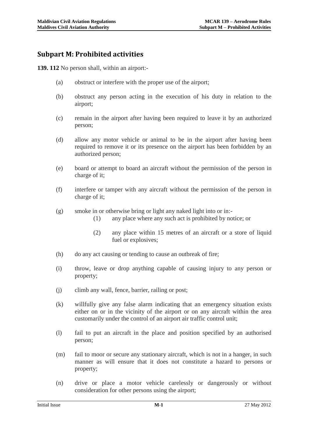# **Subpart M: Prohibited activities**

**139. 112** No person shall, within an airport:-

- (a) obstruct or interfere with the proper use of the airport;
- (b) obstruct any person acting in the execution of his duty in relation to the airport;
- (c) remain in the airport after having been required to leave it by an authorized person;
- (d) allow any motor vehicle or animal to be in the airport after having been required to remove it or its presence on the airport has been forbidden by an authorized person;
- (e) board or attempt to board an aircraft without the permission of the person in charge of it;
- (f) interfere or tamper with any aircraft without the permission of the person in charge of it;
- (g) smoke in or otherwise bring or light any naked light into or in:-
	- (1) any place where any such act is prohibited by notice; or
	- (2) any place within 15 metres of an aircraft or a store of liquid fuel or explosives;
- (h) do any act causing or tending to cause an outbreak of fire;
- (i) throw, leave or drop anything capable of causing injury to any person or property;
- (j) climb any wall, fence, barrier, railing or post;
- (k) willfully give any false alarm indicating that an emergency situation exists either on or in the vicinity of the airport or on any aircraft within the area customarily under the control of an airport air traffic control unit;
- (l) fail to put an aircraft in the place and position specified by an authorised person;
- (m) fail to moor or secure any stationary aircraft, which is not in a hanger, in such manner as will ensure that it does not constitute a hazard to persons or property;
- (n) drive or place a motor vehicle carelessly or dangerously or without consideration for other persons using the airport;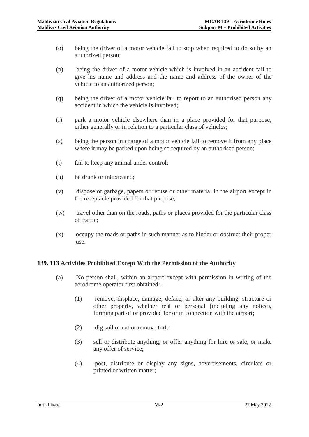- (o) being the driver of a motor vehicle fail to stop when required to do so by an authorized person;
- (p) being the driver of a motor vehicle which is involved in an accident fail to give his name and address and the name and address of the owner of the vehicle to an authorized person;
- (q) being the driver of a motor vehicle fail to report to an authorised person any accident in which the vehicle is involved;
- (r) park a motor vehicle elsewhere than in a place provided for that purpose, either generally or in relation to a particular class of vehicles;
- (s) being the person in charge of a motor vehicle fail to remove it from any place where it may be parked upon being so required by an authorised person;
- (t) fail to keep any animal under control;
- (u) be drunk or intoxicated;
- (v) dispose of garbage, papers or refuse or other material in the airport except in the receptacle provided for that purpose;
- (w) travel other than on the roads, paths or places provided for the particular class of traffic;
- (x) occupy the roads or paths in such manner as to hinder or obstruct their proper use.

# **139. 113 Activities Prohibited Except With the Permission of the Authority**

- (a) No person shall, within an airport except with permission in writing of the aerodrome operator first obtained:-
	- (1) remove, displace, damage, deface, or alter any building, structure or other property, whether real or personal (including any notice), forming part of or provided for or in connection with the airport;
	- (2) dig soil or cut or remove turf;
	- (3) sell or distribute anything, or offer anything for hire or sale, or make any offer of service;
	- (4) post, distribute or display any signs, advertisements, circulars or printed or written matter;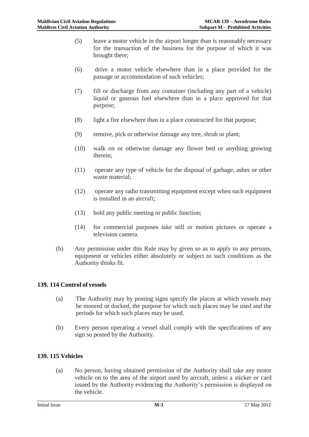- (5) leave a motor vehicle in the airport longer than is reasonably necessary for the transaction of the business for the purpose of which it was brought there;
- (6) drive a motor vehicle elsewhere than in a place provided for the passage or accommodation of such vehicles;
- (7) fill or discharge from any container (including any part of a vehicle) liquid or gaseous fuel elsewhere than in a place approved for that purpose;
- (8) light a fire elsewhere than in a place constructed for that purpose;
- (9) remove, pick or otherwise damage any tree, shrub or plant;
- (10) walk on or otherwise damage any flower bed or anything growing therein;
- (11) operate any type of vehicle for the disposal of garbage, ashes or other waste material;
- (12) operate any radio transmitting equipment except when such equipment is installed in an aircraft;
- (13) hold any public meeting or public function;
- (14) for commercial purposes take still or motion pictures or operate a television camera.
- (b) Any permission under this Rule may by given so as to apply to any persons, equipment or vehicles either absolutely or subject to such conditions as the Authority thinks fit.

#### **139. 114 Control of vessels**

- (a) The Authority may by posting signs specify the places at which vessels may be moored or docked, the purpose for which such places may be used and the periods for which such places may be used.
- (b) Every person operating a vessel shall comply with the specifications of any sign so posted by the Authority.

# **139. 115 Vehicles**

(a) No person, having obtained permission of the Authority shall take any motor vehicle on to the area of the airport used by aircraft, unless a sticker or card issued by the Authority evidencing the Authority's permission is displayed on the vehicle.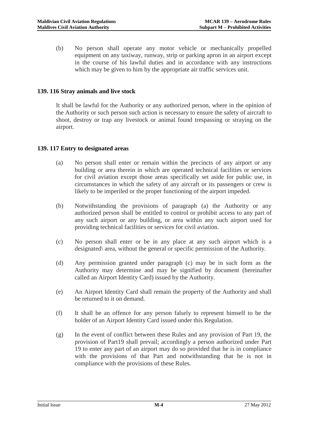(b) No person shall operate any motor vehicle or mechanically propelled equipment on any taxiway, runway, strip or parking apron in an airport except in the course of his lawful duties and in accordance with any instructions which may be given to him by the appropriate air traffic services unit.

## **139. 116 Stray animals and live stock**

It shall be lawful for the Authority or any authorized person, where in the opinion of the Authority or such person such action is necessary to ensure the safety of aircraft to shoot, destroy or trap any livestock or animal found trespassing or straying on the airport.

#### **139. 117 Entry to designated areas**

- (a) No person shall enter or remain within the precincts of any airport or any building or area therein in which are operated technical facilities or services for civil aviation except those areas specifically set aside for public use, in circumstances in which the safety of any aircraft or its passengers or crew is likely to be imperiled or the proper functioning of the airport impeded.
- (b) Notwithstanding the provisions of paragraph (a) the Authority or any authorized person shall be entitled to control or prohibit access to any part of any such airport or any building, or area within any such airport used for providing technical facilities or services for civil aviation.
- (c) No person shall enter or be in any place at any such airport which is a designated\ area, without the general or specific permission of the Authority.
- (d) Any permission granted under paragraph (c) may be in such form as the Authority may determine and may be signified by document (hereinafter called an Airport Identity Card) issued by the Authority.
- (e) An Airport Identity Card shall remain the property of the Authority and shall be returned to it on demand.
- (f) It shall be an offence for any person falsely to represent himself to be the holder of an Airport Identity Card issued under this Regulation.
- (g) In the event of conflict between these Rules and any provision of Part 19, the provision of Part19 shall prevail; accordingly a person authorized under Part 19 to enter any part of an airport may do so provided that he is in compliance with the provisions of that Part and notwithstanding that he is not in compliance with the provisions of these Rules.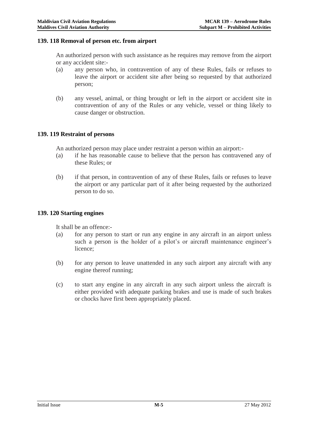#### **139. 118 Removal of person etc. from airport**

An authorized person with such assistance as he requires may remove from the airport or any accident site:-

- (a) any person who, in contravention of any of these Rules, fails or refuses to leave the airport or accident site after being so requested by that authorized person;
- (b) any vessel, animal, or thing brought or left in the airport or accident site in contravention of any of the Rules or any vehicle, vessel or thing likely to cause danger or obstruction.

#### **139. 119 Restraint of persons**

An authorized person may place under restraint a person within an airport:-

- (a) if he has reasonable cause to believe that the person has contravened any of these Rules; or
- (b) if that person, in contravention of any of these Rules, fails or refuses to leave the airport or any particular part of it after being requested by the authorized person to do so.

#### **139. 120 Starting engines**

It shall be an offence:-

- (a) for any person to start or run any engine in any aircraft in an airport unless such a person is the holder of a pilot's or aircraft maintenance engineer's licence;
- (b) for any person to leave unattended in any such airport any aircraft with any engine thereof running;
- (c) to start any engine in any aircraft in any such airport unless the aircraft is either provided with adequate parking brakes and use is made of such brakes or chocks have first been appropriately placed.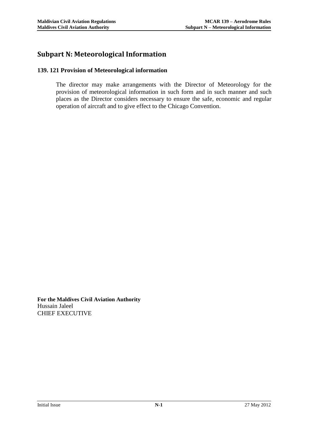# **Subpart N: Meteorological Information**

#### **139. 121 Provision of Meteorological information**

The director may make arrangements with the Director of Meteorology for the provision of meteorological information in such form and in such manner and such places as the Director considers necessary to ensure the safe, economic and regular operation of aircraft and to give effect to the Chicago Convention.

**For the Maldives Civil Aviation Authority** Hussain Jaleel CHIEF EXECUTIVE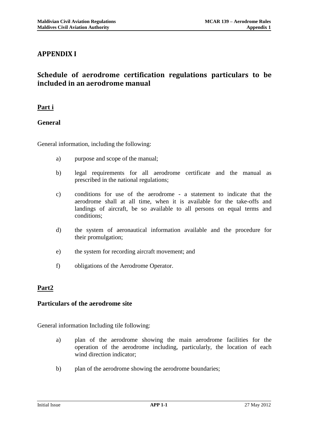# **APPENDIX I**

# **Schedule of aerodrome certification regulations particulars to be included in an aerodrome manual**

# **Part i**

# **General**

General information, including the following:

- a) purpose and scope of the manual;
- b) legal requirements for all aerodrome certificate and the manual as prescribed in the national regulations;
- c) conditions for use of the aerodrome a statement to indicate that the aerodrome shall at all time, when it is available for the take-offs and landings of aircraft, be so available to all persons on equal terms and conditions;
- d) the system of aeronautical information available and the procedure for their promulgation;
- e) the system for recording aircraft movement; and
- f) obligations of the Aerodrome Operator.

# **Part2**

# **Particulars of the aerodrome site**

General information Including tile following:

- a) plan of the aerodrome showing the main aerodrome facilities for the operation of the aerodrome including, particularly, the location of each wind direction indicator;
- b) plan of the aerodrome showing the aerodrome boundaries;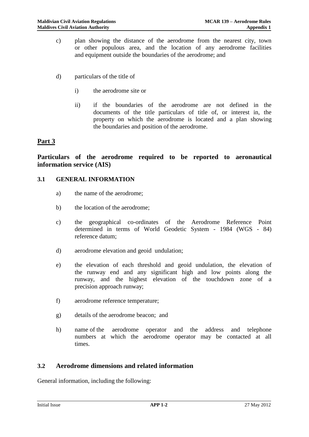- c) plan showing the distance of the aerodrome from the nearest city, town or other populous area, and the location of any aerodrome facilities and equipment outside the boundaries of the aerodrome; and
- d) particulars of the title of
	- i) the aerodrome site or
	- ii) if the boundaries of the aerodrome are not defined in the documents of the title particulars of title of, or interest in, the property on which the aerodrome is located and a plan showing the boundaries and position of the aerodrome.

# **Part 3**

**Particulars of the aerodrome required to be reported to aeronautical information service (AIS)**

#### **3.1 GENERAL INFORMATION**

- a) the name of the aerodrome;
- b) the location of the aerodrome;
- c) the geographical co-ordinates of the Aerodrome Reference Point determined in terms of World Geodetic System - 1984 (WGS - 84) reference datum;
- d) aerodrome elevation and geoid undulation;
- e) the elevation of each threshold and geoid undulation, the elevation of the runway end and any significant high and low points along the runway, and the highest elevation of the touchdown zone of a precision approach runway;
- f) aerodrome reference temperature;
- g) details of the aerodrome beacon; and
- h) name of the aerodrome operator and the address and telephone numbers at which the aerodrome operator may be contacted at all times.

# **3.2 Aerodrome dimensions and related information**

General information, including the following: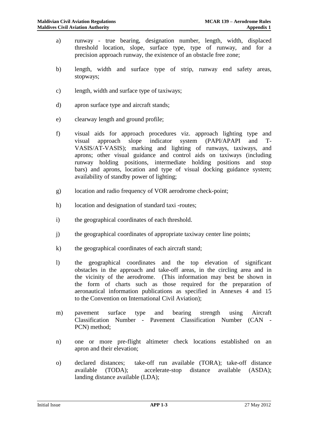- a) runway true bearing, designation number, length, width, displaced threshold location, slope, surface type, type of runway, and for a precision approach runway, the existence of an obstacle free zone;
- b) length, width and surface type of strip, runway end safety areas, stopways;
- c) length, width and surface type of taxiways;
- d) apron surface type and aircraft stands;
- e) clearway length and ground profile;
- f) visual aids for approach procedures viz. approach lighting type and visual approach slope indicator system (PAPI/APAPI and T-VASIS/AT-VASIS); marking and lighting of runways, taxiways, and aprons; other visual guidance and control aids on taxiways (including runway holding positions, intermediate holding positions and stop bars) and aprons, location and type of visual docking guidance system; availability of standby power of lighting;
- g) location and radio frequency of VOR aerodrome check-point;
- h) location and designation of standard taxi -routes;
- i) the geographical coordinates of each threshold.
- j) the geographical coordinates of appropriate taxiway center line points;
- k) the geographical coordinates of each aircraft stand;
- l) the geographical coordinates and the top elevation of significant obstacles in the approach and take-off areas, in the circling area and in the vicinity of the aerodrome. (This information may best be shown in the form of charts such as those required for the preparation of aeronautical information publications as specified in Annexes 4 and 15 to the Convention on International Civil Aviation);
- m) pavement surface type and bearing strength using Aircraft Classification Number - Pavement Classification Number (CAN - PCN) method;
- n) one or more pre-flight altimeter check locations established on an apron and their elevation;
- o) declared distances; take-off run available (TORA); take-off distance available (TODA); accelerate-stop distance available (ASDA); landing distance available (LDA);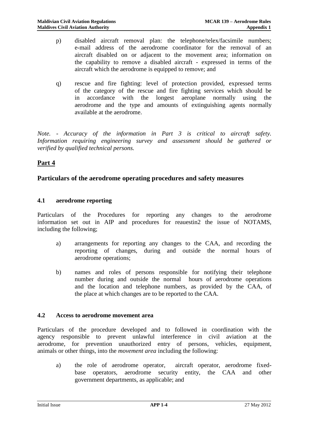- p) disabled aircraft removal plan: the telephone/telex/facsimile numbers; e-mail address of the aerodrome coordinator for the removal of an aircraft disabled on or adjacent to the movement area; information on the capability to remove a disabled aircraft - expressed in terms of the aircraft which the aerodrome is equipped to remove; and
- q) rescue and fire fighting: level of protection provided, expressed terms of the category of the rescue and fire fighting services which should be in accordance with the longest aeroplane normally using the aerodrome and the type and amounts of extinguishing agents normally available at the aerodrome.

*Note. - Accuracy of the information in Part 3 is critical to aircraft safety. Information requiring engineering survey and assessment should be gathered or verified by qualified technical persons.*

# **Part 4**

# **Particulars of the aerodrome operating procedures and safety measures**

#### **4.1 aerodrome reporting**

Particulars of the Procedures for reporting any changes to the aerodrome information set out in AIP and procedures for reauestin2 the issue of NOTAMS, including the following;

- a) arrangements for reporting any changes to the CAA, and recording the reporting of changes, during and outside the normal hours of aerodrome operations;
- b) names and roles of persons responsible for notifying their telephone number during and outside the normal hours of aerodrome operations and the location and telephone numbers, as provided by the CAA, of the place at which changes are to be reported to the CAA.

#### **4.2 Access to aerodrome movement area**

Particulars of the procedure developed and to followed in coordination with the agency responsible to prevent unlawful interference in civil aviation at the aerodrome, for prevention unauthorized entry of persons, vehicles, equipment, animals or other things, into the *movement area* including the following:

a) the role of aerodrome operator, aircraft operator, aerodrome fixedbase operators, aerodrome security entity, the CAA and other government departments, as applicable; and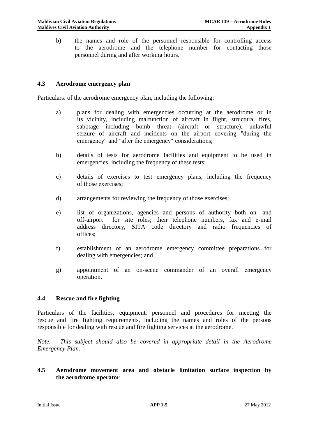b) the names and role of the personnel responsible for controlling access to the aerodrome and the telephone number for contacting those personnel during and after working hours.

#### **4.3 Aerodrome emergency plan**

Particulars: of the aerodrome emergency plan, including the following:

- a) plans for dealing with emergencies occurring at the aerodrome or in its vicinity, including malfunction of aircraft in flight, structural fires, sabotage including bomb threat (aircraft or structure), unlawful seizure of aircraft and incidents on the airport covering "during the emergency" and "after the emergency" considerations;
- b) details of tests for aerodrome facilities and equipment to be used in emergencies, including the frequency of these tests;
- c) details of exercises to test emergency plans, including the frequency of those exercises;
- d) arrangements for reviewing the frequency of those exercises;
- e) list of organizations, agencies and persons of authority both on- and off-airport for site roles; their telephone numbers, fax and e-mail address directory, SITA code directory and radio frequencies of offices;
- f) establishment of an aerodrome emergency committee preparations for dealing with emergencies; and
- g) appointment of an on-scene commander of an overall emergency operation.

#### **4.4 Rescue and fire fighting**

Particulars of the facilities, equipment, personnel and procedures for meeting the rescue and fire fighting requirements, including the names and roles of the persons responsible for dealing with rescue and fire fighting services at the aerodrome.

*Note. - This subject should also be covered in appropriate detail in the Aerodrome Emergency Plan.*

#### **4.5 Aerodrome movement area and obstacle limitation surface inspection by the aerodrome operator**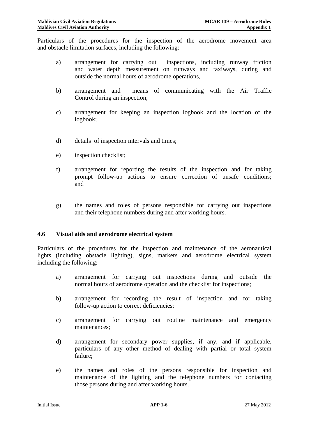Particulars of the procedures for the inspection of the aerodrome movement area and obstacle limitation surfaces, including the following:

- a) arrangement for carrying out inspections, including runway friction and water depth measurement on runways and taxiways, during and outside the normal hours of aerodrome operations,
- b) arrangement and means of communicating with the Air Traffic Control during an inspection;
- c) arrangement for keeping an inspection logbook and the location of the logbook;
- d) details of inspection intervals and times;
- e) inspection checklist;
- f) arrangement for reporting the results of the inspection and for taking prompt follow-up actions to ensure correction of unsafe conditions; and
- g) the names and roles of persons responsible for carrying out inspections and their telephone numbers during and after working hours.

#### **4.6 Visual aids and aerodrome electrical system**

Particulars of the procedures for the inspection and maintenance of the aeronautical lights (including obstacle lighting), signs, markers and aerodrome electrical system including the following:

- a) arrangement for carrying out inspections during and outside the normal hours of aerodrome operation and the checklist for inspections;
- b) arrangement for recording the result of inspection and for taking follow-up action to correct deficiencies;
- c) arrangement for carrying out routine maintenance and emergency maintenances;
- d) arrangement for secondary power supplies, if any, and if applicable, particulars of any other method of dealing with partial or total system failure;
- e) the names and roles of the persons responsible for inspection and maintenance of the lighting and the telephone numbers for contacting those persons during and after working hours.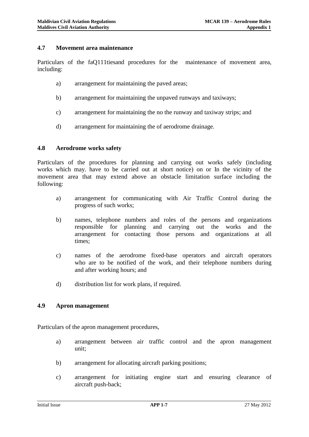#### **4.7 Movement area maintenance**

Particulars of the faQ111tiesand procedures for the maintenance of movement area, including:

- a) arrangement for maintaining the paved areas;
- b) arrangement for maintaining the unpaved runways and taxiways;
- c) arrangement for maintaining the no the runway and taxiway strips; and
- d) arrangement for maintaining the of aerodrome drainage.

#### **4.8 Aerodrome works safety**

Particulars of the procedures for planning and carrying out works safely (including works which may. have to be carried out at short notice) on or In the vicinity of the movement area that may extend above an obstacle limitation surface including the following:

- a) arrangement for communicating with Air Traffic Control during the progress of such works;
- b) names, telephone numbers and roles of the persons and organizations responsible for planning and carrying out the works and the arrangement for contacting those persons and organizations at all times;
- c) names of the aerodrome fixed-base operators and aircraft operators who are to be notified of the work, and their telephone numbers during and after working hours; and
- d) distribution list for work plans, if required.

#### **4.9 Apron management**

Particulars of the apron management procedures,

- a) arrangement between air traffic control and the apron management unit;
- b) arrangement for allocating aircraft parking positions;
- c) arrangement for initiating engine start and ensuring clearance of aircraft push-back;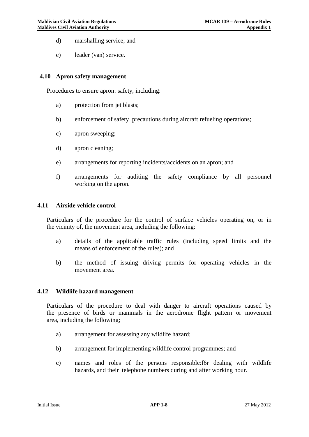- d) marshalling service; and
- e) leader (van) service.

#### **4.10 Apron safety management**

Procedures to ensure apron: safety, including:

- a) protection from jet blasts;
- b) enforcement of safety precautions during aircraft refueling operations;
- c) apron sweeping;
- d) apron cleaning;
- e) arrangements for reporting incidents/accidents on an apron; and
- f) arrangements for auditing the safety compliance by all personnel working on the apron.

#### **4.11 Airside vehicle control**

Particulars of the procedure for the control of surface vehicles operating on, or in the vicinity of, the movement area, including the following:

- a) details of the applicable traffic rules (including speed limits and the means of enforcement of the rules); and
- b) the method of issuing driving permits for operating vehicles in the movement area.

#### **4.12 Wildlife hazard management**

Particulars of the procedure to deal with danger to aircraft operations caused by the presence of birds or mammals in the aerodrome flight pattern or movement area, including the following;

- a) arrangement for assessing any wildlife hazard;
- b) arrangement for implementing wildlife control programmes; and
- c) names and roles of the persons responsible:f6r dealing with wildlife hazards, and their telephone numbers during and after working hour.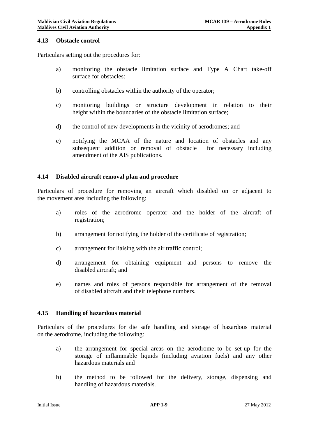#### **4.13 Obstacle control**

Particulars setting out the procedures for:

- a) monitoring the obstacle limitation surface and Type A Chart take-off surface for obstacles:
- b) controlling obstacles within the authority of the operator;
- c) monitoring buildings or structure development in relation to their height within the boundaries of the obstacle limitation surface;
- d) the control of new developments in the vicinity of aerodromes; and
- e) notifying the MCAA of the nature and location of obstacles and any subsequent addition or removal of obstacle for necessary including amendment of the AIS publications.

#### **4.14 Disabled aircraft removal plan and procedure**

Particulars of procedure for removing an aircraft which disabled on or adjacent to the movement area including the following:

- a) roles of the aerodrome operator and the holder of the aircraft of registration;
- b) arrangement for notifying the holder of the certificate of registration;
- c) arrangement for liaising with the air traffic control;
- d) arrangement for obtaining equipment and persons to remove the disabled aircraft; and
- e) names and roles of persons responsible for arrangement of the removal of disabled aircraft and their telephone numbers.

#### **4.15 Handling of hazardous material**

Particulars of the procedures for die safe handling and storage of hazardous material on the aerodrome, including the following:

- a) the arrangement for special areas on the aerodrome to be set-up for the storage of inflammable liquids (including aviation fuels) and any other hazardous materials and
- b) the method to be followed for the delivery, storage, dispensing and handling of hazardous materials.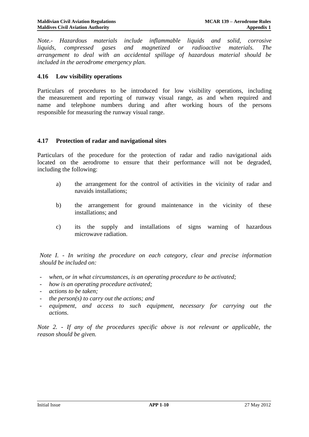*Note.- Hazardous materials include inflammable liquids and solid, corrosive liquids, compressed gases and magnetized or radioactive materials. The arrangement to deal with an accidental spillage of hazardous material should be included in the aerodrome emergency plan.*

#### **4.16 Low visibility operations**

Particulars of procedures to be introduced for low visibility operations, including the measurement and reporting of runway visual range, as and when required and name and telephone numbers during and after working hours of the persons responsible for measuring the runway visual range.

#### **4.17 Protection of radar and navigational sites**

Particulars of the procedure for the protection of radar and radio navigational aids located on the aerodrome to ensure that their performance will not be degraded, including the following:

- a) the arrangement for the control of activities in the vicinity of radar and navaids installations;
- b) the arrangement for ground maintenance in the vicinity of these installations; and
- c) its the supply and installations of signs warning of hazardous microwave radiation.

*Note I. - In writing the procedure on each category, clear and precise information should be included on:*

- when, or in what circumstances, is an operating procedure to be activated;
- *how is an operating procedure activated;*
- *actions to be taken;*
- *the person(s) to carry out the actions; and*
- equipment, and access to such equipment, necessary for carrying out the *actions.*

*Note 2. - If any of the procedures specific above is not relevant or applicable, the reason should be given.*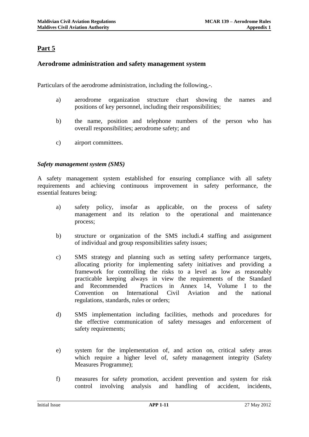# **Part 5**

## **Aerodrome administration and safety management system**

Particulars of the aerodrome administration, including the following,-.

- a) aerodrome organization structure chart showing the names and positions of key personnel, including their responsibilities;
- b) the name, position and telephone numbers of the person who has overall responsibilities; aerodrome safety; and
- c) airport committees.

#### *Safety management system (SMS)*

A safety management system established for ensuring compliance with all safety requirements and achieving continuous improvement in safety performance, the essential features being:

- a) safety policy, insofar as applicable, on the process of safety management and its relation to the operational and maintenance process;
- b) structure or organization of the SMS includi.4 staffing and assignment of individual and group responsibilities safety issues;
- c) SMS strategy and planning such as setting safety performance targets, allocating priority for implementing safety initiatives and providing a framework for controlling the risks to a level as low as reasonably practicable keeping always in view the requirements of the Standard and Recommended Practices in Annex 14, Volume I to the Convention on International Civil Aviation and the national regulations, standards, rules or orders;
- d) SMS implementation including facilities, methods and procedures for the effective communication of safety messages and enforcement of safety requirements;
- e) system for the implementation of, and action on, critical safety areas which require a higher level of, safety management integrity (Safety Measures Programme);
- f) measures for safety promotion, accident prevention and system for risk control involving analysis and handling of accident, incidents,